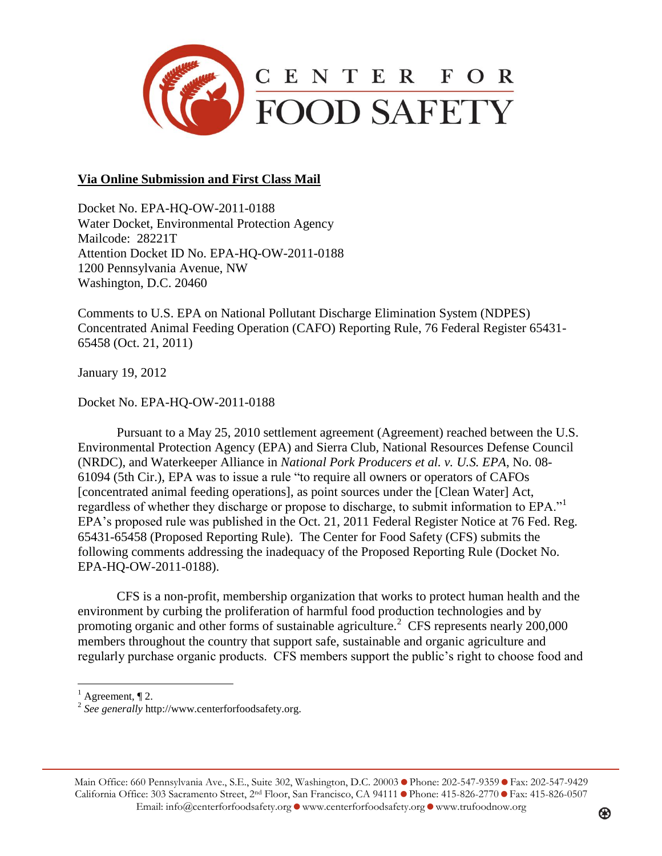

## **Via Online Submission and First Class Mail**

Docket No. EPA-HQ-OW-2011-0188 Water Docket, Environmental Protection Agency Mailcode: 28221T Attention Docket ID No. EPA-HQ-OW-2011-0188 1200 Pennsylvania Avenue, NW Washington, D.C. 20460

Comments to U.S. EPA on National Pollutant Discharge Elimination System (NDPES) Concentrated Animal Feeding Operation (CAFO) Reporting Rule, 76 Federal Register 65431- 65458 (Oct. 21, 2011)

January 19, 2012

Docket No. EPA-HQ-OW-2011-0188

Pursuant to a May 25, 2010 settlement agreement (Agreement) reached between the U.S. Environmental Protection Agency (EPA) and Sierra Club, National Resources Defense Council (NRDC), and Waterkeeper Alliance in *National Pork Producers et al. v. U.S. EPA*, No. 08- 61094 (5th Cir.), EPA was to issue a rule "to require all owners or operators of CAFOs [concentrated animal feeding operations], as point sources under the [Clean Water] Act, regardless of whether they discharge or propose to discharge, to submit information to EPA."<sup>1</sup> EPA's proposed rule was published in the Oct. 21, 2011 Federal Register Notice at 76 Fed. Reg. 65431-65458 (Proposed Reporting Rule). The Center for Food Safety (CFS) submits the following comments addressing the inadequacy of the Proposed Reporting Rule (Docket No. EPA-HQ-OW-2011-0188).

CFS is a non-profit, membership organization that works to protect human health and the environment by curbing the proliferation of harmful food production technologies and by promoting organic and other forms of sustainable agriculture.<sup>2</sup> CFS represents nearly 200,000 members throughout the country that support safe, sustainable and organic agriculture and regularly purchase organic products. CFS members support the public's right to choose food and

 $<sup>1</sup>$  Agreement,  $\P$  2.</sup>

 $\overline{a}$ 

Main Office: 660 Pennsylvania Ave., S.E., Suite 302, Washington, D.C. 20003 • Phone: 202-547-9359 • Fax: 202-547-9429 California Office: 303 Sacramento Street, 2<sup>nd</sup> Floor, San Francisco, CA 94111 Phone: 415-826-2770 PFax: 415-826-0507 Email: info@centerforfoodsafety.org O www.centerforfoodsafety.org O www.trufoodnow.org

<sup>2</sup> *See generally* http://www.centerforfoodsafety.org.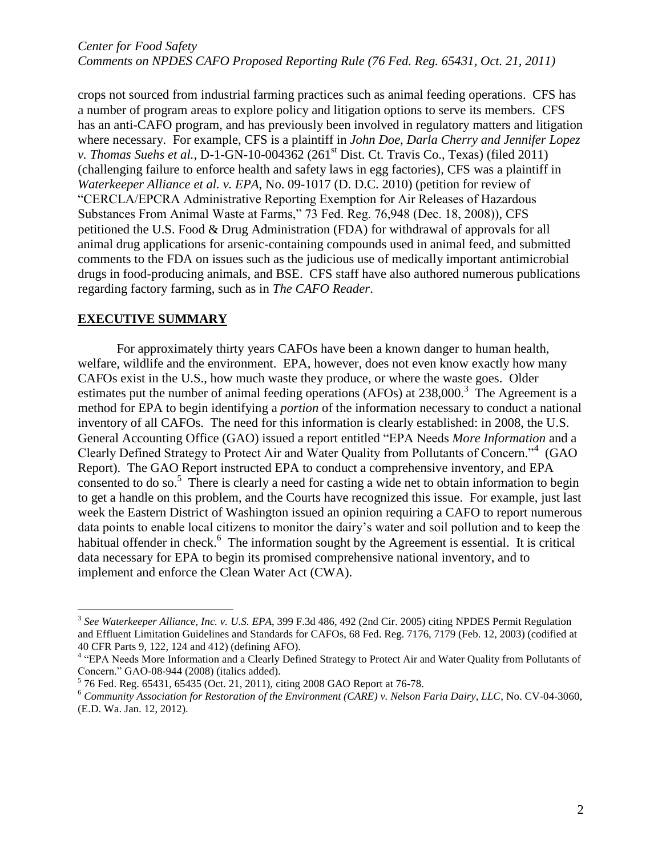crops not sourced from industrial farming practices such as animal feeding operations. CFS has a number of program areas to explore policy and litigation options to serve its members. CFS has an anti-CAFO program, and has previously been involved in regulatory matters and litigation where necessary. For example, CFS is a plaintiff in *John Doe, Darla Cherry and Jennifer Lopez v. Thomas Suehs et al.*, D-1-GN-10-004362 (261<sup>st</sup> Dist. Ct. Travis Co., Texas) (filed 2011) (challenging failure to enforce health and safety laws in egg factories), CFS was a plaintiff in *Waterkeeper Alliance et al. v. EPA*, No. 09-1017 (D. D.C. 2010) (petition for review of "CERCLA/EPCRA Administrative Reporting Exemption for Air Releases of Hazardous Substances From Animal Waste at Farms," 73 Fed. Reg. 76,948 (Dec. 18, 2008)), CFS petitioned the U.S. Food & Drug Administration (FDA) for withdrawal of approvals for all animal drug applications for arsenic-containing compounds used in animal feed, and submitted comments to the FDA on issues such as the judicious use of medically important antimicrobial drugs in food-producing animals, and BSE. CFS staff have also authored numerous publications regarding factory farming, such as in *The CAFO Reader*.

#### **EXECUTIVE SUMMARY**

 $\overline{a}$ 

For approximately thirty years CAFOs have been a known danger to human health, welfare, wildlife and the environment. EPA, however, does not even know exactly how many CAFOs exist in the U.S., how much waste they produce, or where the waste goes. Older estimates put the number of animal feeding operations (AFOs) at 238,000.<sup>3</sup> The Agreement is a method for EPA to begin identifying a *portion* of the information necessary to conduct a national inventory of all CAFOs. The need for this information is clearly established: in 2008, the U.S. General Accounting Office (GAO) issued a report entitled "EPA Needs *More Information* and a Clearly Defined Strategy to Protect Air and Water Quality from Pollutants of Concern."<sup>4</sup> (GAO Report). The GAO Report instructed EPA to conduct a comprehensive inventory, and EPA consented to do so.<sup>5</sup> There is clearly a need for casting a wide net to obtain information to begin to get a handle on this problem, and the Courts have recognized this issue. For example, just last week the Eastern District of Washington issued an opinion requiring a CAFO to report numerous data points to enable local citizens to monitor the dairy's water and soil pollution and to keep the habitual offender in check.<sup>6</sup> The information sought by the Agreement is essential. It is critical data necessary for EPA to begin its promised comprehensive national inventory, and to implement and enforce the Clean Water Act (CWA).

<sup>3</sup> *See Waterkeeper Alliance, Inc. v. U.S. EPA*, 399 F.3d 486, 492 (2nd Cir. 2005) citing NPDES Permit Regulation and Effluent Limitation Guidelines and Standards for CAFOs, 68 Fed. Reg. 7176, 7179 (Feb. 12, 2003) (codified at 40 CFR Parts 9, 122, 124 and 412) (defining AFO).

<sup>&</sup>lt;sup>4</sup> "EPA Needs More Information and a Clearly Defined Strategy to Protect Air and Water Quality from Pollutants of Concern." GAO-08-944 (2008) (italics added).

<sup>5</sup> 76 Fed. Reg. 65431, 65435 (Oct. 21, 2011), citing 2008 GAO Report at 76-78.

<sup>6</sup> *Community Association for Restoration of the Environment (CARE) v. Nelson Faria Dairy, LLC*, No. CV-04-3060, (E.D. Wa. Jan. 12, 2012).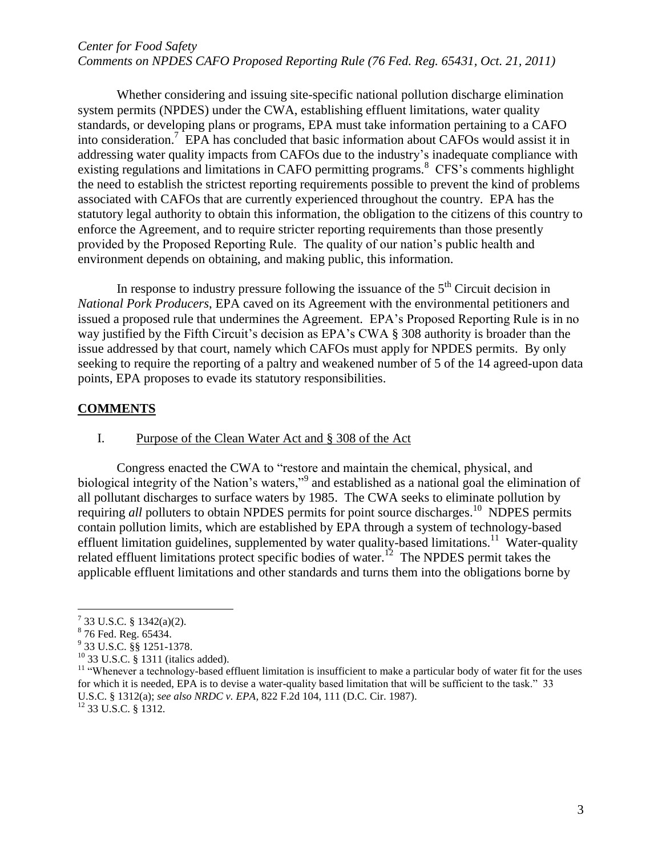Whether considering and issuing site-specific national pollution discharge elimination system permits (NPDES) under the CWA, establishing effluent limitations, water quality standards, or developing plans or programs, EPA must take information pertaining to a CAFO into consideration. 7 EPA has concluded that basic information about CAFOs would assist it in addressing water quality impacts from CAFOs due to the industry's inadequate compliance with existing regulations and limitations in CAFO permitting programs.<sup>8</sup> CFS's comments highlight the need to establish the strictest reporting requirements possible to prevent the kind of problems associated with CAFOs that are currently experienced throughout the country. EPA has the statutory legal authority to obtain this information, the obligation to the citizens of this country to enforce the Agreement, and to require stricter reporting requirements than those presently provided by the Proposed Reporting Rule. The quality of our nation's public health and environment depends on obtaining, and making public, this information.

In response to industry pressure following the issuance of the  $5<sup>th</sup>$  Circuit decision in *National Pork Producers*, EPA caved on its Agreement with the environmental petitioners and issued a proposed rule that undermines the Agreement. EPA's Proposed Reporting Rule is in no way justified by the Fifth Circuit's decision as EPA's CWA § 308 authority is broader than the issue addressed by that court, namely which CAFOs must apply for NPDES permits. By only seeking to require the reporting of a paltry and weakened number of 5 of the 14 agreed-upon data points, EPA proposes to evade its statutory responsibilities.

#### **COMMENTS**

Congress enacted the CWA to "restore and maintain the chemical, physical, and biological integrity of the Nation's waters,"<sup>9</sup> and established as a national goal the elimination of all pollutant discharges to surface waters by 1985. The CWA seeks to eliminate pollution by requiring all polluters to obtain NPDES permits for point source discharges.<sup>10</sup> NDPES permits contain pollution limits, which are established by EPA through a system of technology-based effluent limitation guidelines, supplemented by water quality-based limitations.<sup>11</sup> Water-quality related effluent limitations protect specific bodies of water.<sup>12</sup> The NPDES permit takes the applicable effluent limitations and other standards and turns them into the obligations borne by

I. Purpose of the Clean Water Act and § 308 of the Act

 $7$  33 U.S.C. § 1342(a)(2).

<sup>&</sup>lt;sup>8</sup> 76 Fed. Reg. 65434.

<sup>9</sup> 33 U.S.C. §§ 1251-1378.

<sup>10</sup> 33 U.S.C. § 1311 (italics added).

 $11$  "Whenever a technology-based effluent limitation is insufficient to make a particular body of water fit for the uses for which it is needed, EPA is to devise a water-quality based limitation that will be sufficient to the task." 33 U.S.C. § 1312(a); *see also NRDC v. EPA,* 822 F.2d 104, 111 (D.C. Cir. 1987).

<sup>12</sup> 33 U.S.C. § 1312.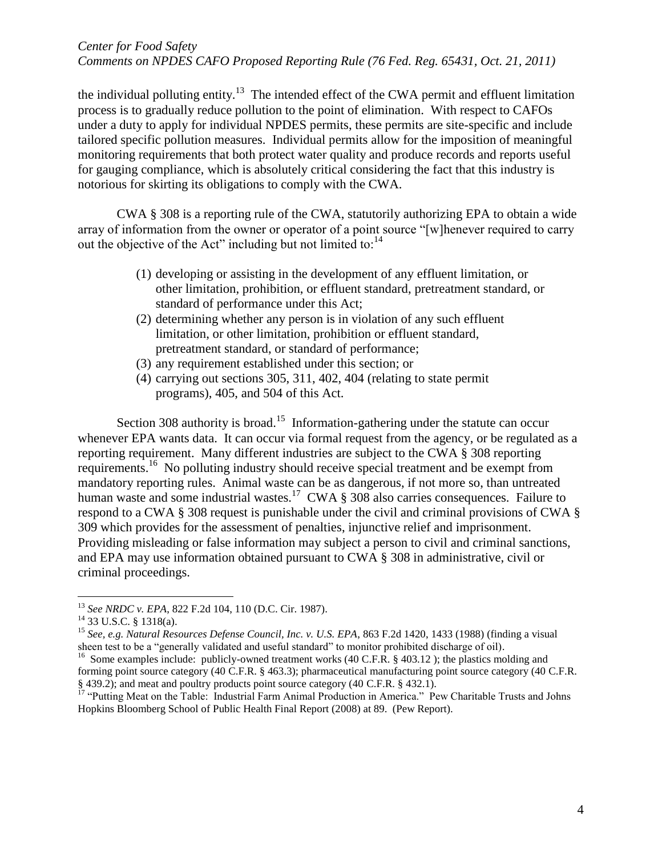the individual polluting entity.<sup>13</sup> The intended effect of the CWA permit and effluent limitation process is to gradually reduce pollution to the point of elimination. With respect to CAFOs under a duty to apply for individual NPDES permits, these permits are site-specific and include tailored specific pollution measures. Individual permits allow for the imposition of meaningful monitoring requirements that both protect water quality and produce records and reports useful for gauging compliance, which is absolutely critical considering the fact that this industry is notorious for skirting its obligations to comply with the CWA.

CWA § 308 is a reporting rule of the CWA, statutorily authorizing EPA to obtain a wide array of information from the owner or operator of a point source "[w]henever required to carry out the objective of the Act" including but not limited to:<sup>14</sup>

- (1) developing or assisting in the development of any effluent limitation, or other limitation, prohibition, or effluent standard, pretreatment standard, or standard of performance under this Act;
- (2) determining whether any person is in violation of any such effluent limitation, or other limitation, prohibition or effluent standard, pretreatment standard, or standard of performance;
- (3) any requirement established under this section; or
- (4) carrying out sections 305, 311, 402, 404 (relating to state permit programs), 405, and 504 of this Act.

Section 308 authority is broad.<sup>15</sup> Information-gathering under the statute can occur whenever EPA wants data. It can occur via formal request from the agency, or be regulated as a reporting requirement. Many different industries are subject to the CWA § 308 reporting requirements.<sup>16</sup> No polluting industry should receive special treatment and be exempt from mandatory reporting rules. Animal waste can be as dangerous, if not more so, than untreated human waste and some industrial wastes.<sup>17</sup> CWA  $\S 308$  also carries consequences. Failure to respond to a CWA § 308 request is punishable under the civil and criminal provisions of CWA § 309 which provides for the assessment of penalties, injunctive relief and imprisonment. Providing misleading or false information may subject a person to civil and criminal sanctions, and EPA may use information obtained pursuant to CWA § 308 in administrative, civil or criminal proceedings.

 $\overline{a}$ 

<sup>15</sup> *See, e.g. Natural Resources Defense Council, Inc. v. U.S. EPA*, 863 F.2d 1420, 1433 (1988) (finding a visual sheen test to be a "generally validated and useful standard" to monitor prohibited discharge of oil).

<sup>13</sup> *See NRDC v. EPA*, 822 F.2d 104, 110 (D.C. Cir. 1987).

 $^{14}$  33 U.S.C. § 1318(a).

<sup>&</sup>lt;sup>16</sup> Some examples include: publicly-owned treatment works (40 C.F.R. § 403.12); the plastics molding and forming point source category (40 C.F.R. § 463.3); pharmaceutical manufacturing point source category (40 C.F.R. § 439.2); and meat and poultry products point source category (40 C.F.R. § 432.1).

<sup>&</sup>lt;sup>17</sup> "Putting Meat on the Table: Industrial Farm Animal Production in America." Pew Charitable Trusts and Johns Hopkins Bloomberg School of Public Health Final Report (2008) at 89. (Pew Report).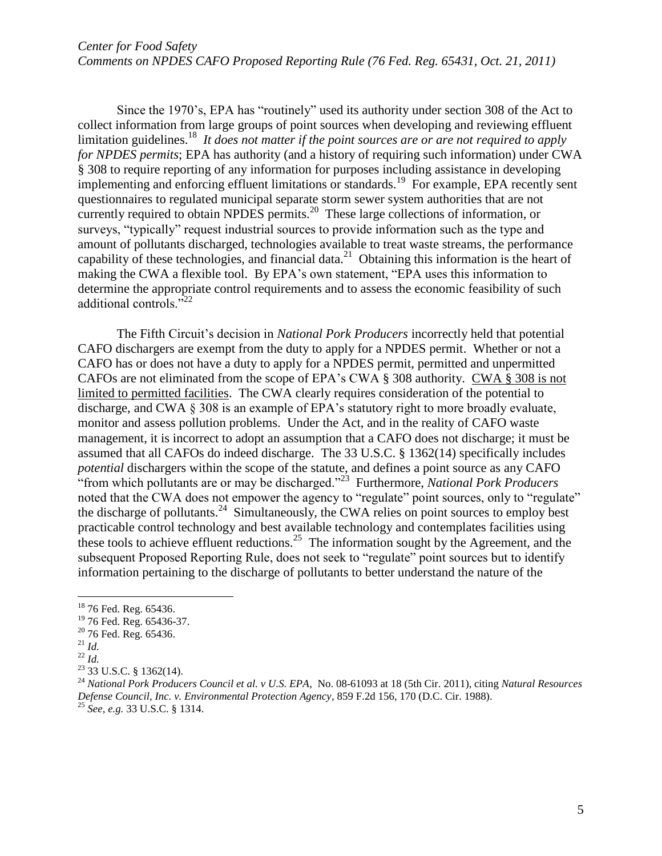Since the 1970's, EPA has "routinely" used its authority under section 308 of the Act to collect information from large groups of point sources when developing and reviewing effluent limitation guidelines. <sup>18</sup> *It does not matter if the point sources are or are not required to apply for NPDES permits*; EPA has authority (and a history of requiring such information) under CWA § 308 to require reporting of any information for purposes including assistance in developing implementing and enforcing effluent limitations or standards.<sup>19</sup> For example, EPA recently sent questionnaires to regulated municipal separate storm sewer system authorities that are not currently required to obtain NPDES permits.<sup>20</sup> These large collections of information, or surveys, "typically" request industrial sources to provide information such as the type and amount of pollutants discharged, technologies available to treat waste streams, the performance capability of these technologies, and financial data.<sup>21</sup> Obtaining this information is the heart of making the CWA a flexible tool. By EPA's own statement, "EPA uses this information to determine the appropriate control requirements and to assess the economic feasibility of such additional controls."<sup>22</sup>

The Fifth Circuit's decision in *National Pork Producers* incorrectly held that potential CAFO dischargers are exempt from the duty to apply for a NPDES permit. Whether or not a CAFO has or does not have a duty to apply for a NPDES permit, permitted and unpermitted CAFOs are not eliminated from the scope of EPA's CWA § 308 authority. CWA § 308 is not limited to permitted facilities. The CWA clearly requires consideration of the potential to discharge, and CWA § 308 is an example of EPA's statutory right to more broadly evaluate, monitor and assess pollution problems. Under the Act, and in the reality of CAFO waste management, it is incorrect to adopt an assumption that a CAFO does not discharge; it must be assumed that all CAFOs do indeed discharge. The 33 U.S.C. § 1362(14) specifically includes *potential* dischargers within the scope of the statute, and defines a point source as any CAFO "from which pollutants are or may be discharged."<sup>23</sup> Furthermore, *National Pork Producers* noted that the CWA does not empower the agency to "regulate" point sources, only to "regulate" the discharge of pollutants.<sup>24</sup> Simultaneously, the CWA relies on point sources to employ best practicable control technology and best available technology and contemplates facilities using these tools to achieve effluent reductions.<sup>25</sup> The information sought by the Agreement, and the subsequent Proposed Reporting Rule, does not seek to "regulate" point sources but to identify information pertaining to the discharge of pollutants to better understand the nature of the

<sup>&</sup>lt;sup>18</sup> 76 Fed. Reg. 65436.

<sup>&</sup>lt;sup>19</sup> 76 Fed. Reg. 65436-37.

<sup>&</sup>lt;sup>20</sup> 76 Fed. Reg. 65436.

 $^{21}$  *Id.* 

<sup>22</sup> *Id.*

 $23$  33 U.S.C. § 1362(14).

<sup>24</sup> *National Pork Producers Council et al. v U.S. EPA*, No. 08-61093 at 18 (5th Cir. 2011), citing *Natural Resources Defense Council, Inc. v. Environmental Protection Agency*, 859 F.2d 156, 170 (D.C. Cir. 1988). <sup>25</sup> *See, e.g.* 33 U.S.C. § 1314.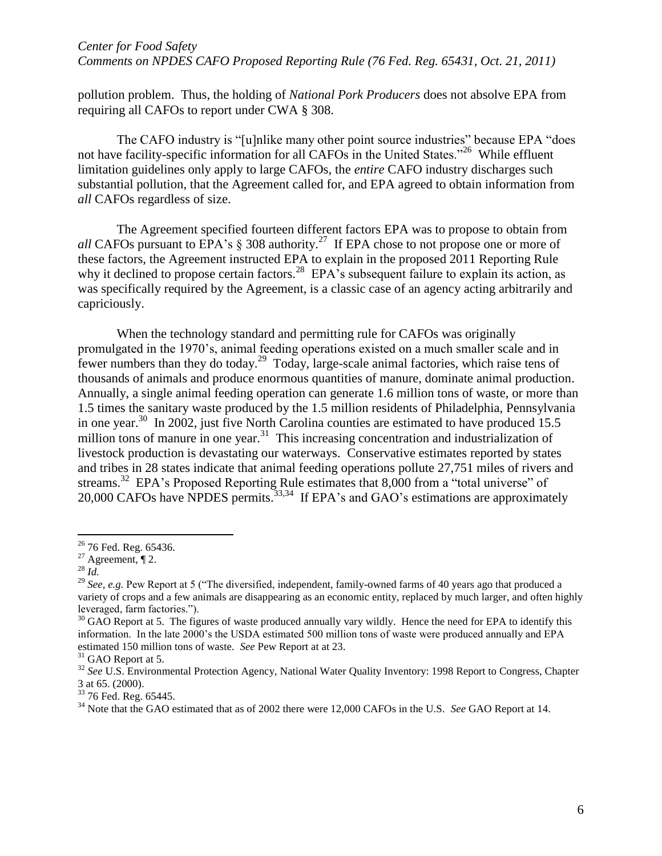# *Center for Food Safety*

*Comments on NPDES CAFO Proposed Reporting Rule (76 Fed. Reg. 65431, Oct. 21, 2011)*

pollution problem. Thus, the holding of *National Pork Producers* does not absolve EPA from requiring all CAFOs to report under CWA § 308.

The CAFO industry is "[u]nlike many other point source industries" because EPA "does not have facility-specific information for all CAFOs in the United States."<sup>26</sup> While effluent limitation guidelines only apply to large CAFOs, the *entire* CAFO industry discharges such substantial pollution, that the Agreement called for, and EPA agreed to obtain information from *all* CAFOs regardless of size.

The Agreement specified fourteen different factors EPA was to propose to obtain from *all* CAFOs pursuant to EPA's  $\S$  308 authority.<sup>27</sup> If EPA chose to not propose one or more of these factors, the Agreement instructed EPA to explain in the proposed 2011 Reporting Rule why it declined to propose certain factors.<sup>28</sup> EPA's subsequent failure to explain its action, as was specifically required by the Agreement, is a classic case of an agency acting arbitrarily and capriciously.

When the technology standard and permitting rule for CAFOs was originally promulgated in the 1970's, animal feeding operations existed on a much smaller scale and in fewer numbers than they do today.<sup>29</sup> Today, large-scale animal factories, which raise tens of thousands of animals and produce enormous quantities of manure, dominate animal production. Annually, a single animal feeding operation can generate 1.6 million tons of waste, or more than 1.5 times the sanitary waste produced by the 1.5 million residents of Philadelphia, Pennsylvania in one year.<sup>30</sup> In 2002, just five North Carolina counties are estimated to have produced 15.5 million tons of manure in one year.<sup>31</sup> This increasing concentration and industrialization of livestock production is devastating our waterways. Conservative estimates reported by states and tribes in 28 states indicate that animal feeding operations pollute 27,751 miles of rivers and streams.<sup>32</sup> EPA's Proposed Reporting Rule estimates that 8,000 from a "total universe" of 20,000 CAFOs have NPDES permits.<sup>33,34</sup> If EPA's and GAO's estimations are approximately

<sup>&</sup>lt;sup>26</sup> 76 Fed. Reg. 65436.

 $27$  Agreement,  $\P$  2.

<sup>28</sup> *Id.*

<sup>&</sup>lt;sup>29</sup> *See, e.g.* Pew Report at 5 ("The diversified, independent, family-owned farms of 40 years ago that produced a variety of crops and a few animals are disappearing as an economic entity, replaced by much larger, and often highly leveraged, farm factories.").

 $30$  GAO Report at 5. The figures of waste produced annually vary wildly. Hence the need for EPA to identify this information. In the late 2000's the USDA estimated 500 million tons of waste were produced annually and EPA estimated 150 million tons of waste. *See* Pew Report at at 23.

<sup>&</sup>lt;sup>31</sup> GAO Report at 5.

<sup>&</sup>lt;sup>32</sup> See U.S. Environmental Protection Agency, National Water Quality Inventory: 1998 Report to Congress, Chapter 3 at 65. (2000).

<sup>&</sup>lt;sup>33</sup> 76 Fed. Reg. 65445.

<sup>34</sup> Note that the GAO estimated that as of 2002 there were 12,000 CAFOs in the U.S. *See* GAO Report at 14.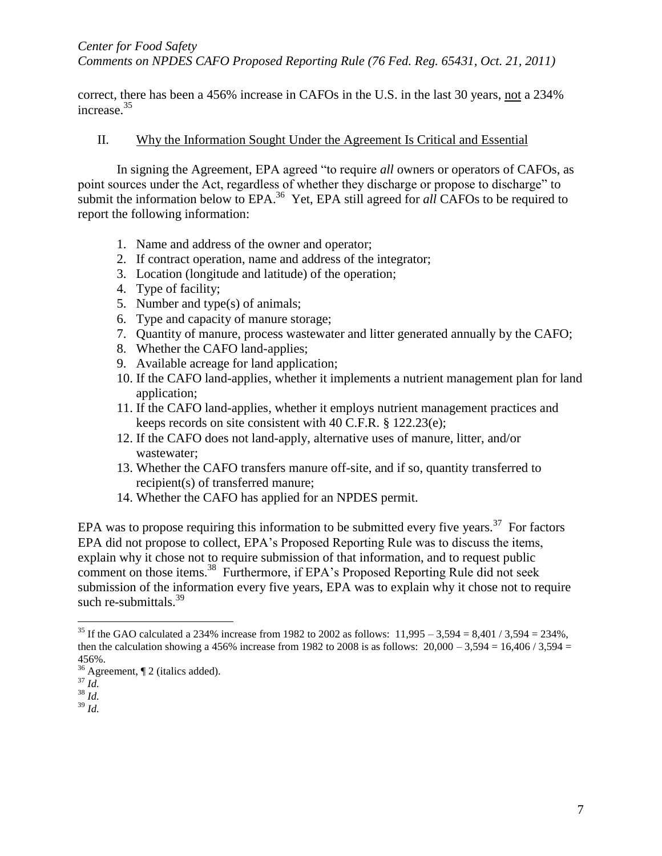*Comments on NPDES CAFO Proposed Reporting Rule (76 Fed. Reg. 65431, Oct. 21, 2011)*

correct, there has been a 456% increase in CAFOs in the U.S. in the last 30 years, not a 234% increase. 35

#### II. Why the Information Sought Under the Agreement Is Critical and Essential

In signing the Agreement, EPA agreed "to require *all* owners or operators of CAFOs, as point sources under the Act, regardless of whether they discharge or propose to discharge" to submit the information below to EPA.<sup>36</sup> Yet, EPA still agreed for *all* CAFOs to be required to report the following information:

- 1. Name and address of the owner and operator;
- 2. If contract operation, name and address of the integrator;
- 3. Location (longitude and latitude) of the operation;
- 4. Type of facility;
- 5. Number and type(s) of animals;
- 6. Type and capacity of manure storage;
- 7. Quantity of manure, process wastewater and litter generated annually by the CAFO;
- 8. Whether the CAFO land-applies;
- 9. Available acreage for land application;
- 10. If the CAFO land-applies, whether it implements a nutrient management plan for land application;
- 11. If the CAFO land-applies, whether it employs nutrient management practices and keeps records on site consistent with 40 C.F.R. § 122.23(e);
- 12. If the CAFO does not land-apply, alternative uses of manure, litter, and/or wastewater;
- 13. Whether the CAFO transfers manure off-site, and if so, quantity transferred to recipient(s) of transferred manure;
- 14. Whether the CAFO has applied for an NPDES permit.

EPA was to propose requiring this information to be submitted every five years.<sup>37</sup> For factors EPA did not propose to collect, EPA's Proposed Reporting Rule was to discuss the items, explain why it chose not to require submission of that information, and to request public comment on those items.<sup>38</sup> Furthermore, if EPA's Proposed Reporting Rule did not seek submission of the information every five years, EPA was to explain why it chose not to require such re-submittals. $39$ 

 $\overline{a}$ 

<sup>39</sup> *Id.*

<sup>&</sup>lt;sup>35</sup> If the GAO calculated a 234% increase from 1982 to 2002 as follows:  $11,995 - 3,594 = 8,401 / 3,594 = 234\%$ , then the calculation showing a 456% increase from 1982 to 2008 is as follows:  $20,000 - 3,594 = 16,406 / 3,594 =$ 456%.

 $\frac{36}{36}$  Agreement, ¶ 2 (italics added).

<sup>37</sup> *Id.*

<sup>38</sup> *Id.*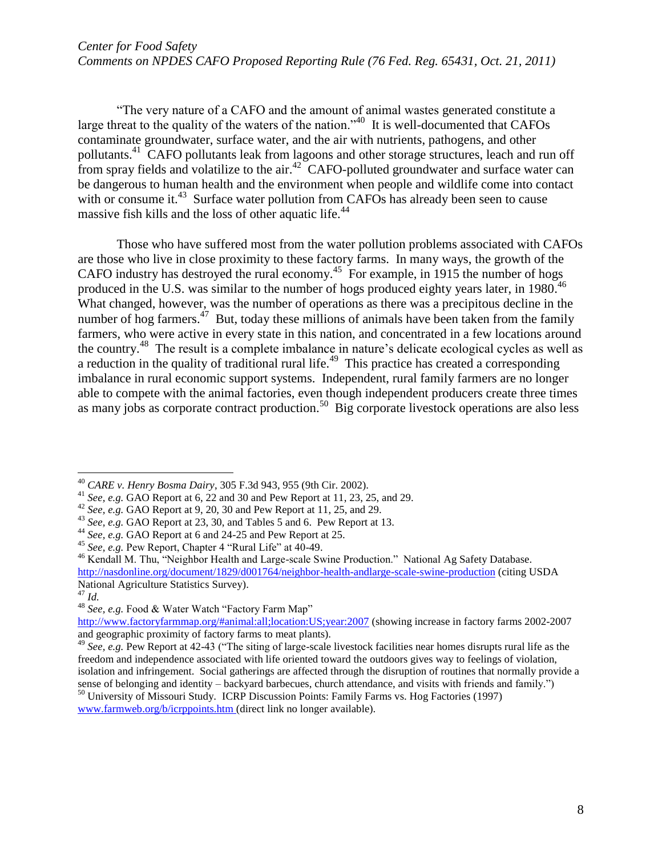"The very nature of a CAFO and the amount of animal wastes generated constitute a large threat to the quality of the waters of the nation."<sup>40</sup> It is well-documented that CAFOs contaminate groundwater, surface water, and the air with nutrients, pathogens, and other pollutants.<sup>41</sup> CAFO pollutants leak from lagoons and other storage structures, leach and run off from spray fields and volatilize to the air.<sup>42</sup> CAFO-polluted groundwater and surface water can be dangerous to human health and the environment when people and wildlife come into contact with or consume it.<sup>43</sup> Surface water pollution from CAFOs has already been seen to cause massive fish kills and the loss of other aquatic life.<sup>44</sup>

Those who have suffered most from the water pollution problems associated with CAFOs are those who live in close proximity to these factory farms. In many ways, the growth of the CAFO industry has destroyed the rural economy.<sup>45</sup> For example, in 1915 the number of hogs produced in the U.S. was similar to the number of hogs produced eighty years later, in 1980.<sup>46</sup> What changed, however, was the number of operations as there was a precipitous decline in the number of hog farmers.<sup>47</sup> But, today these millions of animals have been taken from the family farmers, who were active in every state in this nation, and concentrated in a few locations around the country.<sup>48</sup> The result is a complete imbalance in nature's delicate ecological cycles as well as a reduction in the quality of traditional rural life.<sup>49</sup> This practice has created a corresponding imbalance in rural economic support systems. Independent, rural family farmers are no longer able to compete with the animal factories, even though independent producers create three times as many jobs as corporate contract production.<sup>50</sup> Big corporate livestock operations are also less

 $\overline{a}$ <sup>40</sup> *CARE v. Henry Bosma Dairy*, 305 F.3d 943, 955 (9th Cir. 2002).

<sup>41</sup> *See, e.g.* GAO Report at 6, 22 and 30 and Pew Report at 11, 23, 25, and 29.

<sup>42</sup> *See, e.g.* GAO Report at 9, 20, 30 and Pew Report at 11, 25, and 29.

<sup>43</sup> *See, e.g.* GAO Report at 23, 30, and Tables 5 and 6. Pew Report at 13.

<sup>44</sup> *See, e.g.* GAO Report at 6 and 24-25 and Pew Report at 25.

<sup>45</sup> *See, e.g.* Pew Report, Chapter 4 "Rural Life" at 40-49.

<sup>&</sup>lt;sup>46</sup> Kendall M. Thu, "Neighbor Health and Large-scale Swine Production." National Ag Safety Database. <http://nasdonline.org/document/1829/d001764/neighbor-health-andlarge-scale-swine-production> (citing USDA National Agriculture Statistics Survey). <sup>47</sup> *Id.*

<sup>48</sup> *See, e.g.* Food & Water Watch "Factory Farm Map"

<http://www.factoryfarmmap.org/#animal:all;location:US;year:2007> (showing increase in factory farms 2002-2007 and geographic proximity of factory farms to meat plants).

<sup>49</sup> *See, e.g.* Pew Report at 42-43 ("The siting of large-scale livestock facilities near homes disrupts rural life as the freedom and independence associated with life oriented toward the outdoors gives way to feelings of violation, isolation and infringement. Social gatherings are affected through the disruption of routines that normally provide a sense of belonging and identity – backyard barbecues, church attendance, and visits with friends and family.")

<sup>50</sup> University of Missouri Study. ICRP Discussion Points: Family Farms vs. Hog Factories (1997)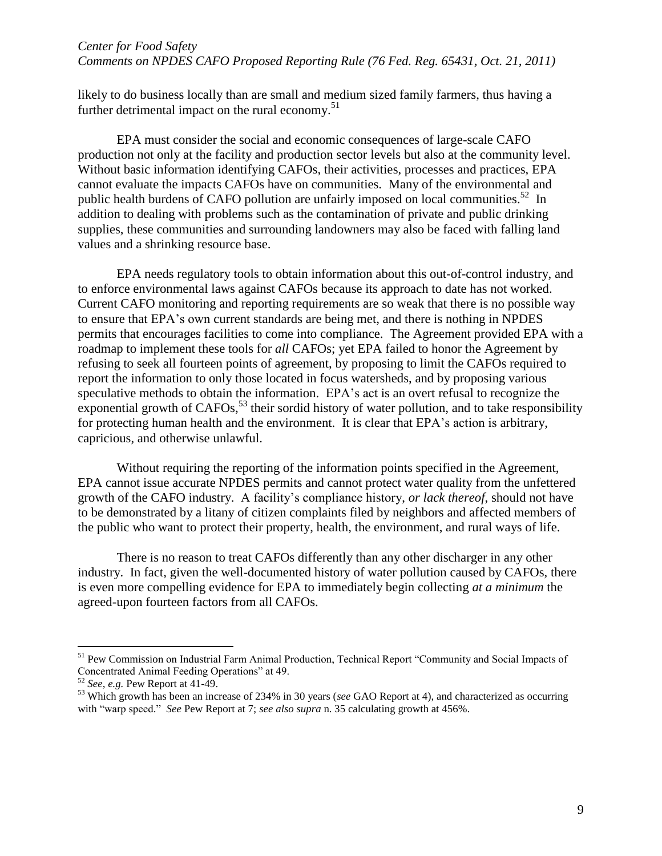likely to do business locally than are small and medium sized family farmers, thus having a further detrimental impact on the rural economy.<sup>51</sup>

EPA must consider the social and economic consequences of large-scale CAFO production not only at the facility and production sector levels but also at the community level. Without basic information identifying CAFOs, their activities, processes and practices, EPA cannot evaluate the impacts CAFOs have on communities. Many of the environmental and public health burdens of CAFO pollution are unfairly imposed on local communities.<sup>52</sup> In addition to dealing with problems such as the contamination of private and public drinking supplies, these communities and surrounding landowners may also be faced with falling land values and a shrinking resource base.

EPA needs regulatory tools to obtain information about this out-of-control industry, and to enforce environmental laws against CAFOs because its approach to date has not worked. Current CAFO monitoring and reporting requirements are so weak that there is no possible way to ensure that EPA's own current standards are being met, and there is nothing in NPDES permits that encourages facilities to come into compliance. The Agreement provided EPA with a roadmap to implement these tools for *all* CAFOs; yet EPA failed to honor the Agreement by refusing to seek all fourteen points of agreement, by proposing to limit the CAFOs required to report the information to only those located in focus watersheds, and by proposing various speculative methods to obtain the information. EPA's act is an overt refusal to recognize the exponential growth of CAFOs,<sup>53</sup> their sordid history of water pollution, and to take responsibility for protecting human health and the environment. It is clear that EPA's action is arbitrary, capricious, and otherwise unlawful.

Without requiring the reporting of the information points specified in the Agreement, EPA cannot issue accurate NPDES permits and cannot protect water quality from the unfettered growth of the CAFO industry. A facility's compliance history, *or lack thereof*, should not have to be demonstrated by a litany of citizen complaints filed by neighbors and affected members of the public who want to protect their property, health, the environment, and rural ways of life.

There is no reason to treat CAFOs differently than any other discharger in any other industry. In fact, given the well-documented history of water pollution caused by CAFOs, there is even more compelling evidence for EPA to immediately begin collecting *at a minimum* the agreed-upon fourteen factors from all CAFOs.

<sup>51</sup> Pew Commission on Industrial Farm Animal Production, Technical Report "Community and Social Impacts of Concentrated Animal Feeding Operations" at 49.

<sup>52</sup> *See, e.g.* Pew Report at 41-49.

<sup>53</sup> Which growth has been an increase of 234% in 30 years (*see* GAO Report at 4), and characterized as occurring with "warp speed." *See* Pew Report at 7; *see also supra* n. 35 calculating growth at 456%.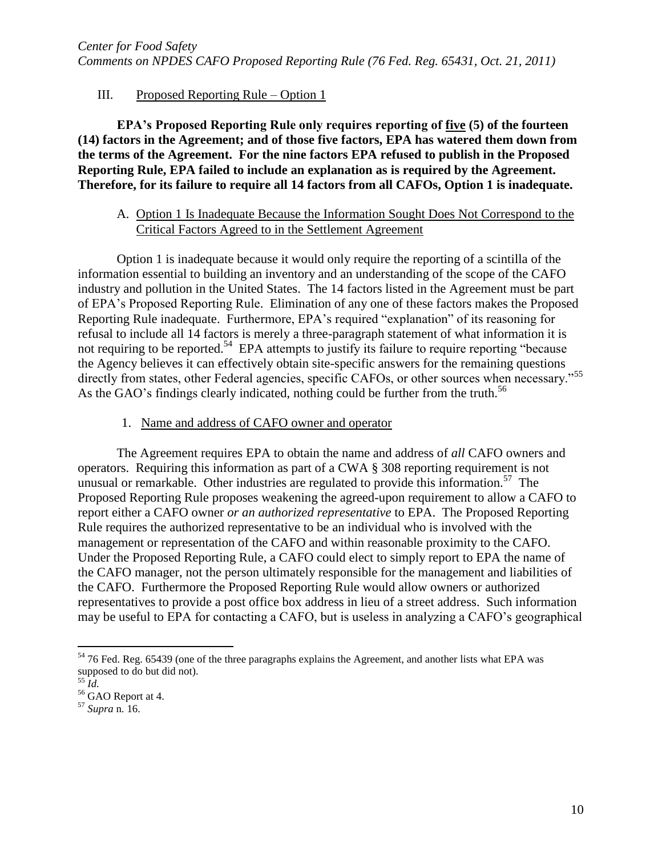# III. Proposed Reporting Rule – Option 1

**EPA's Proposed Reporting Rule only requires reporting of five (5) of the fourteen (14) factors in the Agreement; and of those five factors, EPA has watered them down from the terms of the Agreement. For the nine factors EPA refused to publish in the Proposed Reporting Rule, EPA failed to include an explanation as is required by the Agreement. Therefore, for its failure to require all 14 factors from all CAFOs, Option 1 is inadequate.** 

## A. Option 1 Is Inadequate Because the Information Sought Does Not Correspond to the Critical Factors Agreed to in the Settlement Agreement

Option 1 is inadequate because it would only require the reporting of a scintilla of the information essential to building an inventory and an understanding of the scope of the CAFO industry and pollution in the United States. The 14 factors listed in the Agreement must be part of EPA's Proposed Reporting Rule. Elimination of any one of these factors makes the Proposed Reporting Rule inadequate. Furthermore, EPA's required "explanation" of its reasoning for refusal to include all 14 factors is merely a three-paragraph statement of what information it is not requiring to be reported.<sup>54</sup> EPA attempts to justify its failure to require reporting "because the Agency believes it can effectively obtain site-specific answers for the remaining questions directly from states, other Federal agencies, specific CAFOs, or other sources when necessary."<sup>55</sup> As the GAO's findings clearly indicated, nothing could be further from the truth.<sup>56</sup>

1. Name and address of CAFO owner and operator

The Agreement requires EPA to obtain the name and address of *all* CAFO owners and operators. Requiring this information as part of a CWA § 308 reporting requirement is not unusual or remarkable. Other industries are regulated to provide this information.<sup>57</sup> The Proposed Reporting Rule proposes weakening the agreed-upon requirement to allow a CAFO to report either a CAFO owner *or an authorized representative* to EPA. The Proposed Reporting Rule requires the authorized representative to be an individual who is involved with the management or representation of the CAFO and within reasonable proximity to the CAFO. Under the Proposed Reporting Rule, a CAFO could elect to simply report to EPA the name of the CAFO manager, not the person ultimately responsible for the management and liabilities of the CAFO. Furthermore the Proposed Reporting Rule would allow owners or authorized representatives to provide a post office box address in lieu of a street address. Such information may be useful to EPA for contacting a CAFO, but is useless in analyzing a CAFO's geographical

<sup>&</sup>lt;sup>54</sup> 76 Fed. Reg. 65439 (one of the three paragraphs explains the Agreement, and another lists what EPA was supposed to do but did not).

<sup>55</sup> *Id.*

 $56$  GAO Report at 4.

<sup>57</sup> *Supra* n. 16.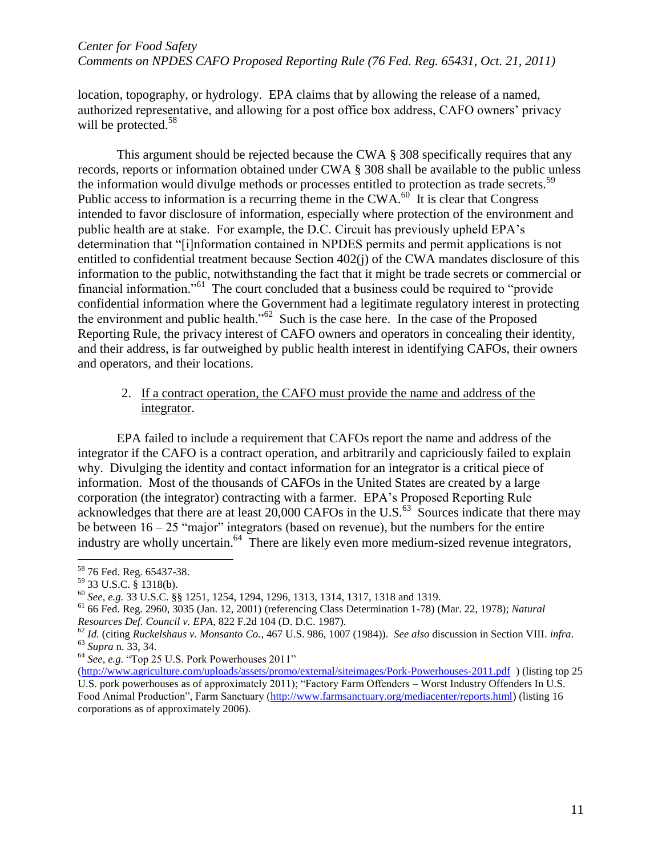location, topography, or hydrology. EPA claims that by allowing the release of a named, authorized representative, and allowing for a post office box address, CAFO owners' privacy will be protected.<sup>58</sup>

This argument should be rejected because the CWA § 308 specifically requires that any records, reports or information obtained under CWA § 308 shall be available to the public unless the information would divulge methods or processes entitled to protection as trade secrets.<sup>59</sup> Public access to information is a recurring theme in the CWA. $^{60}$  It is clear that Congress intended to favor disclosure of information, especially where protection of the environment and public health are at stake. For example, the D.C. Circuit has previously upheld EPA's determination that "[i]nformation contained in NPDES permits and permit applications is not entitled to confidential treatment because Section 402(j) of the CWA mandates disclosure of this information to the public, notwithstanding the fact that it might be trade secrets or commercial or financial information."<sup>61</sup> The court concluded that a business could be required to "provide" confidential information where the Government had a legitimate regulatory interest in protecting the environment and public health."<sup>62</sup> Such is the case here. In the case of the Proposed Reporting Rule, the privacy interest of CAFO owners and operators in concealing their identity, and their address, is far outweighed by public health interest in identifying CAFOs, their owners and operators, and their locations.

## 2. If a contract operation, the CAFO must provide the name and address of the integrator.

EPA failed to include a requirement that CAFOs report the name and address of the integrator if the CAFO is a contract operation, and arbitrarily and capriciously failed to explain why. Divulging the identity and contact information for an integrator is a critical piece of information. Most of the thousands of CAFOs in the United States are created by a large corporation (the integrator) contracting with a farmer. EPA's Proposed Reporting Rule acknowledges that there are at least  $20,000$  CAFOs in the U.S.<sup>63</sup> Sources indicate that there may be between  $16 - 25$  "major" integrators (based on revenue), but the numbers for the entire industry are wholly uncertain.<sup>64</sup> There are likely even more medium-sized revenue integrators,

 $\overline{a}$ 

<sup>64</sup> *See, e.g.* "Top 25 U.S. Pork Powerhouses 2011"

<sup>&</sup>lt;sup>58</sup> 76 Fed. Reg. 65437-38.

 $59$  33 U.S.C.  $\frac{8}{3}$  1318(b).

<sup>60</sup> *See, e.g.* 33 U.S.C. §§ 1251, 1254, 1294, 1296, 1313, 1314, 1317, 1318 and 1319.

<sup>61</sup> 66 Fed. Reg. 2960, 3035 (Jan. 12, 2001) (referencing Class Determination 1-78) (Mar. 22, 1978); *Natural Resources Def. Council v. EPA*, 822 F.2d 104 (D. D.C. 1987).

<sup>62</sup> *Id.* (citing *Ruckelshaus v. Monsanto Co.*, 467 U.S. 986, 1007 (1984)). *See also* discussion in Section VIII. *infra*. <sup>63</sup> *Supra* n. 33, 34.

[<sup>\(</sup>http://www.agriculture.com/uploads/assets/promo/external/siteimages/Pork-Powerhouses-2011.pdf](http://www.agriculture.com/uploads/assets/promo/external/siteimages/Pork-Powerhouses-2011.pdf) ) (listing top 25 U.S. pork powerhouses as of approximately 2011); "Factory Farm Offenders – Worst Industry Offenders In U.S. Food Animal Production", Farm Sanctuary [\(http://www.farmsanctuary.org/mediacenter/reports.html\)](http://www.farmsanctuary.org/mediacenter/reports.html) (listing 16 corporations as of approximately 2006).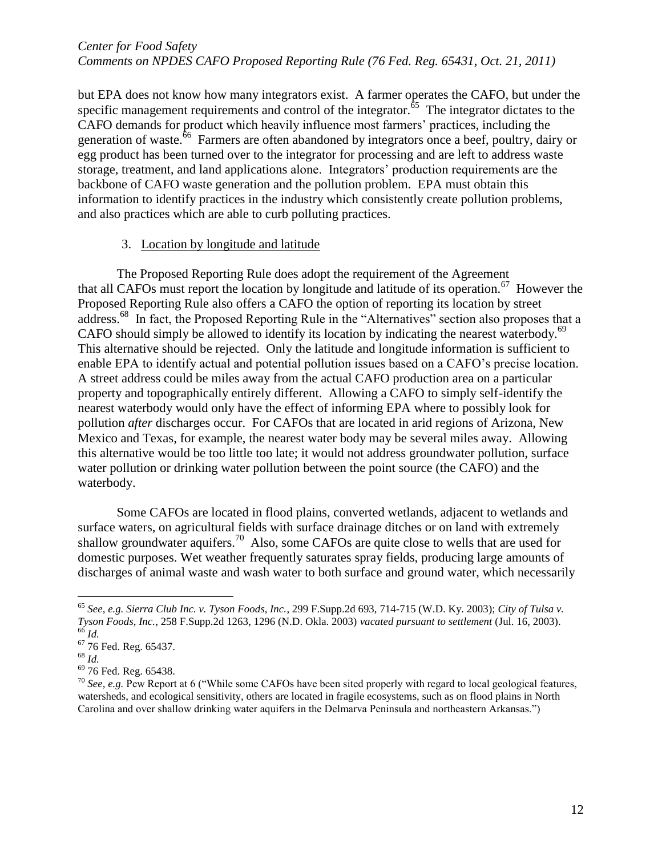but EPA does not know how many integrators exist. A farmer operates the CAFO, but under the specific management requirements and control of the integrator. $65$  The integrator dictates to the CAFO demands for product which heavily influence most farmers' practices, including the generation of waste.<sup>66</sup> Farmers are often abandoned by integrators once a beef, poultry, dairy or egg product has been turned over to the integrator for processing and are left to address waste storage, treatment, and land applications alone. Integrators' production requirements are the backbone of CAFO waste generation and the pollution problem. EPA must obtain this information to identify practices in the industry which consistently create pollution problems, and also practices which are able to curb polluting practices.

#### 3. Location by longitude and latitude

The Proposed Reporting Rule does adopt the requirement of the Agreement that all CAFOs must report the location by longitude and latitude of its operation.<sup>67</sup> However the Proposed Reporting Rule also offers a CAFO the option of reporting its location by street address.<sup>68</sup> In fact, the Proposed Reporting Rule in the "Alternatives" section also proposes that a CAFO should simply be allowed to identify its location by indicating the nearest waterbody. $69$ This alternative should be rejected. Only the latitude and longitude information is sufficient to enable EPA to identify actual and potential pollution issues based on a CAFO's precise location. A street address could be miles away from the actual CAFO production area on a particular property and topographically entirely different. Allowing a CAFO to simply self-identify the nearest waterbody would only have the effect of informing EPA where to possibly look for pollution *after* discharges occur. For CAFOs that are located in arid regions of Arizona, New Mexico and Texas, for example, the nearest water body may be several miles away. Allowing this alternative would be too little too late; it would not address groundwater pollution, surface water pollution or drinking water pollution between the point source (the CAFO) and the waterbody.

Some CAFOs are located in flood plains, converted wetlands, adjacent to wetlands and surface waters, on agricultural fields with surface drainage ditches or on land with extremely shallow groundwater aquifers.<sup>70</sup> Also, some CAFOs are quite close to wells that are used for domestic purposes. Wet weather frequently saturates spray fields, producing large amounts of discharges of animal waste and wash water to both surface and ground water, which necessarily

<sup>65</sup> *See, e.g. Sierra Club Inc. v. Tyson Foods, Inc.*, 299 F.Supp.2d 693, 714-715 (W.D. Ky. 2003); *City of Tulsa v. Tyson Foods, Inc.*, 258 F.Supp.2d 1263, 1296 (N.D. Okla. 2003) *vacated pursuant to settlement* (Jul. 16, 2003). <sup>66</sup> *Id.*

 $67$  76 Fed. Reg. 65437.

<sup>68</sup> *Id.*

<sup>69</sup> 76 Fed. Reg. 65438.

<sup>70</sup> *See, e.g.* Pew Report at 6 ("While some CAFOs have been sited properly with regard to local geological features, watersheds, and ecological sensitivity, others are located in fragile ecosystems, such as on flood plains in North Carolina and over shallow drinking water aquifers in the Delmarva Peninsula and northeastern Arkansas.")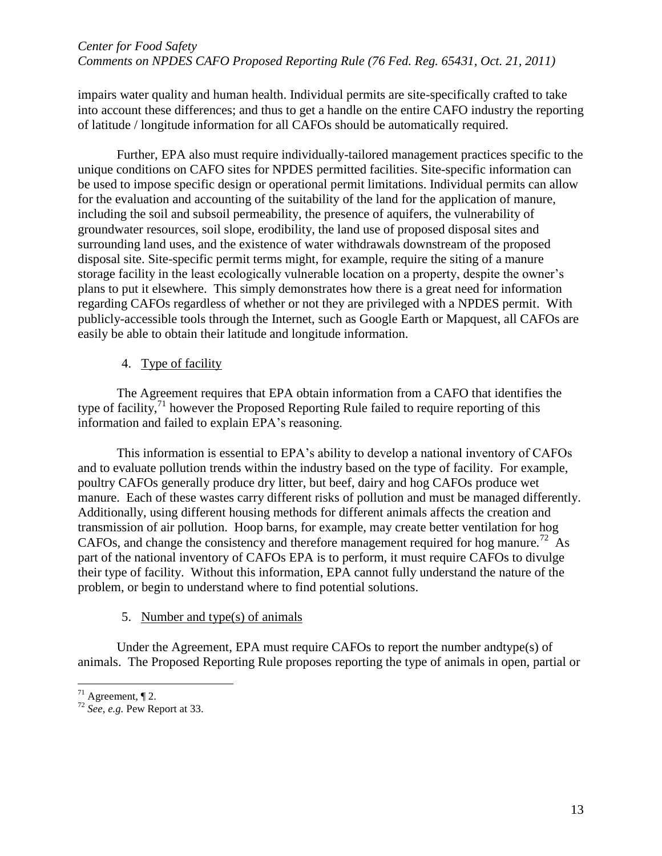impairs water quality and human health. Individual permits are site-specifically crafted to take into account these differences; and thus to get a handle on the entire CAFO industry the reporting of latitude / longitude information for all CAFOs should be automatically required.

Further, EPA also must require individually-tailored management practices specific to the unique conditions on CAFO sites for NPDES permitted facilities. Site-specific information can be used to impose specific design or operational permit limitations. Individual permits can allow for the evaluation and accounting of the suitability of the land for the application of manure, including the soil and subsoil permeability, the presence of aquifers, the vulnerability of groundwater resources, soil slope, erodibility, the land use of proposed disposal sites and surrounding land uses, and the existence of water withdrawals downstream of the proposed disposal site. Site-specific permit terms might, for example, require the siting of a manure storage facility in the least ecologically vulnerable location on a property, despite the owner's plans to put it elsewhere. This simply demonstrates how there is a great need for information regarding CAFOs regardless of whether or not they are privileged with a NPDES permit. With publicly-accessible tools through the Internet, such as Google Earth or Mapquest, all CAFOs are easily be able to obtain their latitude and longitude information.

# 4. Type of facility

The Agreement requires that EPA obtain information from a CAFO that identifies the type of facility,<sup>71</sup> however the Proposed Reporting Rule failed to require reporting of this information and failed to explain EPA's reasoning.

This information is essential to EPA's ability to develop a national inventory of CAFOs and to evaluate pollution trends within the industry based on the type of facility. For example, poultry CAFOs generally produce dry litter, but beef, dairy and hog CAFOs produce wet manure. Each of these wastes carry different risks of pollution and must be managed differently. Additionally, using different housing methods for different animals affects the creation and transmission of air pollution. Hoop barns, for example, may create better ventilation for hog CAFOs, and change the consistency and therefore management required for hog manure.<sup>72</sup> As part of the national inventory of CAFOs EPA is to perform, it must require CAFOs to divulge their type of facility. Without this information, EPA cannot fully understand the nature of the problem, or begin to understand where to find potential solutions.

# 5. Number and type(s) of animals

Under the Agreement, EPA must require CAFOs to report the number andtype(s) of animals. The Proposed Reporting Rule proposes reporting the type of animals in open, partial or

 $71$  Agreement,  $\P$  2.

<sup>72</sup> *See, e.g.* Pew Report at 33.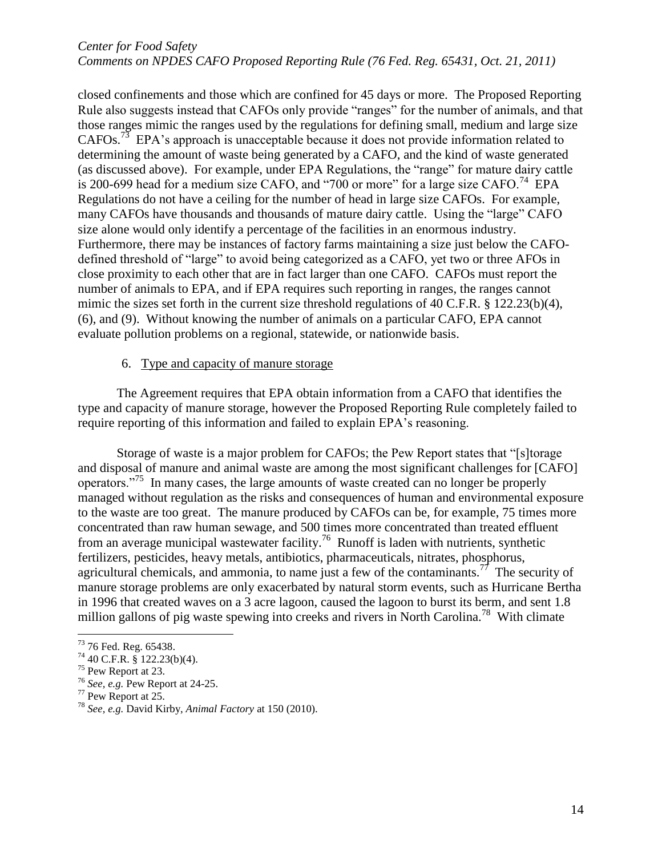closed confinements and those which are confined for 45 days or more. The Proposed Reporting Rule also suggests instead that CAFOs only provide "ranges" for the number of animals, and that those ranges mimic the ranges used by the regulations for defining small, medium and large size CAFOs.<sup>73</sup> EPA's approach is unacceptable because it does not provide information related to determining the amount of waste being generated by a CAFO, and the kind of waste generated (as discussed above). For example, under EPA Regulations, the "range" for mature dairy cattle is 200-699 head for a medium size CAFO, and "700 or more" for a large size CAFO.<sup>74</sup> EPA Regulations do not have a ceiling for the number of head in large size CAFOs. For example, many CAFOs have thousands and thousands of mature dairy cattle. Using the "large" CAFO size alone would only identify a percentage of the facilities in an enormous industry. Furthermore, there may be instances of factory farms maintaining a size just below the CAFOdefined threshold of "large" to avoid being categorized as a CAFO, yet two or three AFOs in close proximity to each other that are in fact larger than one CAFO. CAFOs must report the number of animals to EPA, and if EPA requires such reporting in ranges, the ranges cannot mimic the sizes set forth in the current size threshold regulations of 40 C.F.R. § 122.23(b)(4), (6), and (9). Without knowing the number of animals on a particular CAFO, EPA cannot evaluate pollution problems on a regional, statewide, or nationwide basis.

## 6. Type and capacity of manure storage

The Agreement requires that EPA obtain information from a CAFO that identifies the type and capacity of manure storage, however the Proposed Reporting Rule completely failed to require reporting of this information and failed to explain EPA's reasoning.

Storage of waste is a major problem for CAFOs; the Pew Report states that "[s]torage and disposal of manure and animal waste are among the most significant challenges for [CAFO] operators."<sup>75</sup> In many cases, the large amounts of waste created can no longer be properly managed without regulation as the risks and consequences of human and environmental exposure to the waste are too great. The manure produced by CAFOs can be, for example, 75 times more concentrated than raw human sewage, and 500 times more concentrated than treated effluent from an average municipal wastewater facility.<sup>76</sup> Runoff is laden with nutrients, synthetic fertilizers, pesticides, heavy metals, antibiotics, pharmaceuticals, nitrates, phosphorus, agricultural chemicals, and ammonia, to name just a few of the contaminants.<sup>77</sup> The security of manure storage problems are only exacerbated by natural storm events, such as Hurricane Bertha in 1996 that created waves on a 3 acre lagoon, caused the lagoon to burst its berm, and sent 1.8 million gallons of pig waste spewing into creeks and rivers in North Carolina.<sup>78</sup> With climate

 $73$  76 Fed. Reg. 65438.

 $74$  40 C.F.R. § 122.23(b)(4).

<sup>75</sup> Pew Report at 23.

<sup>76</sup> *See, e.g.* Pew Report at 24-25.

 $77$  Pew Report at 25.

<sup>78</sup> *See, e.g.* David Kirby, *Animal Factory* at 150 (2010).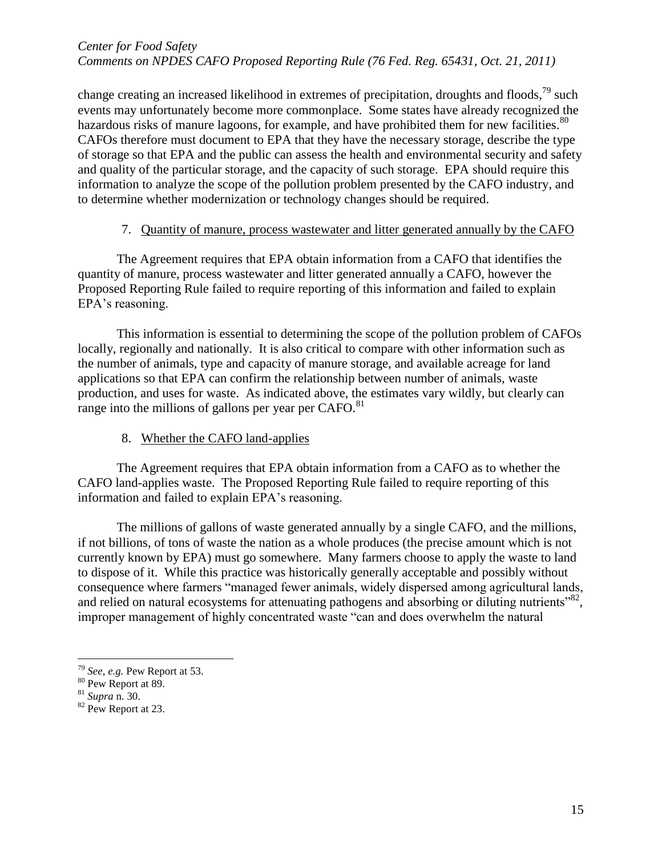change creating an increased likelihood in extremes of precipitation, droughts and floods,  $^{79}$  such events may unfortunately become more commonplace. Some states have already recognized the hazardous risks of manure lagoons, for example, and have prohibited them for new facilities.<sup>80</sup> CAFOs therefore must document to EPA that they have the necessary storage, describe the type of storage so that EPA and the public can assess the health and environmental security and safety and quality of the particular storage, and the capacity of such storage. EPA should require this information to analyze the scope of the pollution problem presented by the CAFO industry, and to determine whether modernization or technology changes should be required.

## 7. Quantity of manure, process wastewater and litter generated annually by the CAFO

The Agreement requires that EPA obtain information from a CAFO that identifies the quantity of manure, process wastewater and litter generated annually a CAFO, however the Proposed Reporting Rule failed to require reporting of this information and failed to explain EPA's reasoning.

This information is essential to determining the scope of the pollution problem of CAFOs locally, regionally and nationally. It is also critical to compare with other information such as the number of animals, type and capacity of manure storage, and available acreage for land applications so that EPA can confirm the relationship between number of animals, waste production, and uses for waste. As indicated above, the estimates vary wildly, but clearly can range into the millions of gallons per year per CAFO.<sup>81</sup>

# 8. Whether the CAFO land-applies

The Agreement requires that EPA obtain information from a CAFO as to whether the CAFO land-applies waste. The Proposed Reporting Rule failed to require reporting of this information and failed to explain EPA's reasoning.

The millions of gallons of waste generated annually by a single CAFO, and the millions, if not billions, of tons of waste the nation as a whole produces (the precise amount which is not currently known by EPA) must go somewhere. Many farmers choose to apply the waste to land to dispose of it. While this practice was historically generally acceptable and possibly without consequence where farmers "managed fewer animals, widely dispersed among agricultural lands, and relied on natural ecosystems for attenuating pathogens and absorbing or diluting nutrients"<sup>82</sup>, improper management of highly concentrated waste "can and does overwhelm the natural

<sup>79</sup> *See, e.g.* Pew Report at 53.

<sup>&</sup>lt;sup>80</sup> Pew Report at 89.

<sup>81</sup> *Supra* n. 30.

<sup>&</sup>lt;sup>82</sup> Pew Report at 23.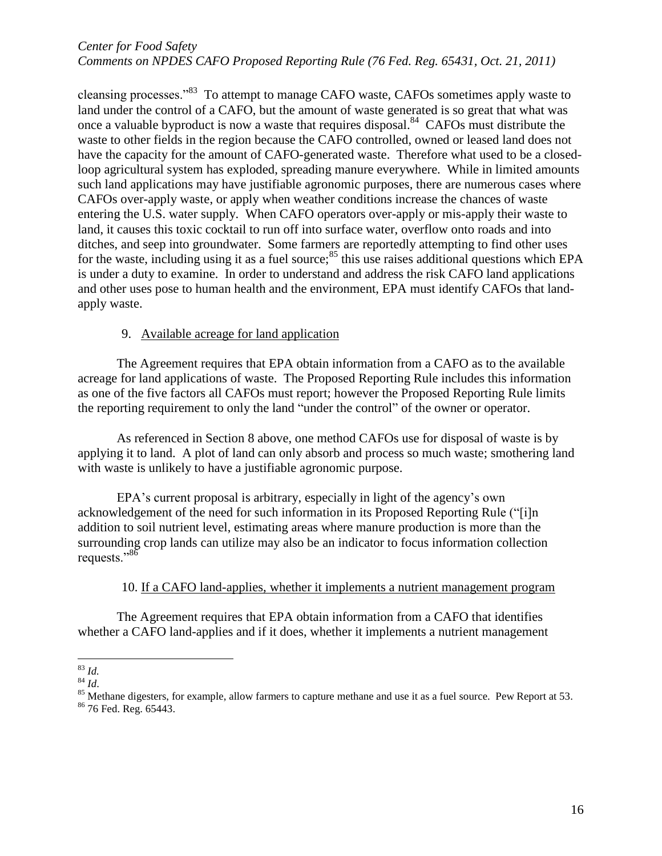cleansing processes."<sup>83</sup> To attempt to manage CAFO waste, CAFOs sometimes apply waste to land under the control of a CAFO, but the amount of waste generated is so great that what was once a valuable byproduct is now a waste that requires disposal.<sup>84</sup> CAFOs must distribute the waste to other fields in the region because the CAFO controlled, owned or leased land does not have the capacity for the amount of CAFO-generated waste. Therefore what used to be a closedloop agricultural system has exploded, spreading manure everywhere. While in limited amounts such land applications may have justifiable agronomic purposes, there are numerous cases where CAFOs over-apply waste, or apply when weather conditions increase the chances of waste entering the U.S. water supply. When CAFO operators over-apply or mis-apply their waste to land, it causes this toxic cocktail to run off into surface water, overflow onto roads and into ditches, and seep into groundwater. Some farmers are reportedly attempting to find other uses for the waste, including using it as a fuel source;  $85$  this use raises additional questions which EPA is under a duty to examine. In order to understand and address the risk CAFO land applications and other uses pose to human health and the environment, EPA must identify CAFOs that landapply waste.

#### 9. Available acreage for land application

The Agreement requires that EPA obtain information from a CAFO as to the available acreage for land applications of waste. The Proposed Reporting Rule includes this information as one of the five factors all CAFOs must report; however the Proposed Reporting Rule limits the reporting requirement to only the land "under the control" of the owner or operator.

As referenced in Section 8 above, one method CAFOs use for disposal of waste is by applying it to land. A plot of land can only absorb and process so much waste; smothering land with waste is unlikely to have a justifiable agronomic purpose.

EPA's current proposal is arbitrary, especially in light of the agency's own acknowledgement of the need for such information in its Proposed Reporting Rule ("[i]n addition to soil nutrient level, estimating areas where manure production is more than the surrounding crop lands can utilize may also be an indicator to focus information collection requests."<sup>86</sup>

#### 10. If a CAFO land-applies, whether it implements a nutrient management program

The Agreement requires that EPA obtain information from a CAFO that identifies whether a CAFO land-applies and if it does, whether it implements a nutrient management

 $\overline{a}$ <sup>83</sup> *Id.*

<sup>84</sup> *Id*.

<sup>&</sup>lt;sup>85</sup> Methane digesters, for example, allow farmers to capture methane and use it as a fuel source. Pew Report at 53. <sup>86</sup> 76 Fed. Reg. 65443.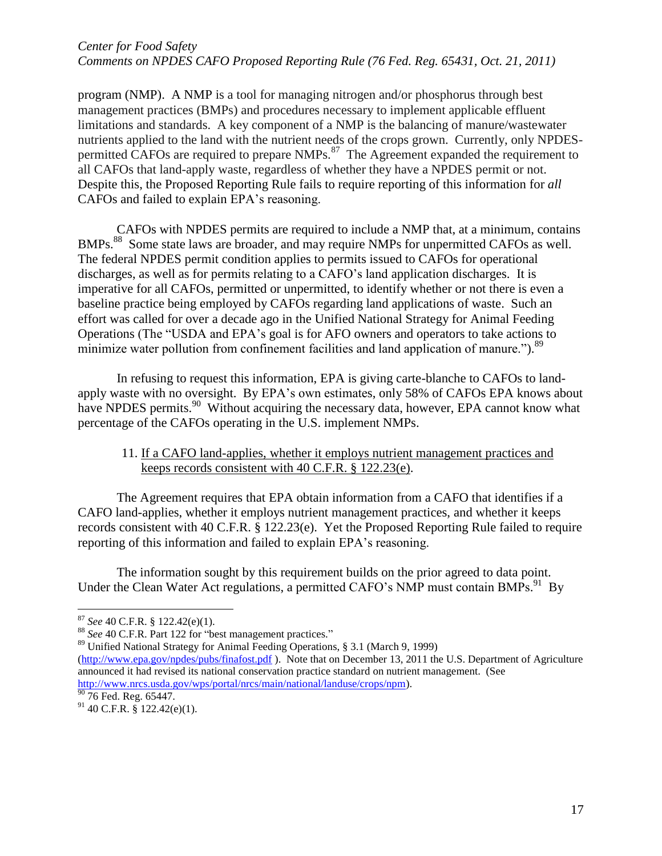program (NMP). A NMP is a tool for managing nitrogen and/or phosphorus through best management practices (BMPs) and procedures necessary to implement applicable effluent limitations and standards. A key component of a NMP is the balancing of manure/wastewater nutrients applied to the land with the nutrient needs of the crops grown. Currently, only NPDESpermitted CAFOs are required to prepare  $NMPs$ .<sup>87</sup> The Agreement expanded the requirement to all CAFOs that land-apply waste, regardless of whether they have a NPDES permit or not. Despite this, the Proposed Reporting Rule fails to require reporting of this information for *all*  CAFOs and failed to explain EPA's reasoning.

CAFOs with NPDES permits are required to include a NMP that, at a minimum, contains BMPs.<sup>88</sup> Some state laws are broader, and may require NMPs for unpermitted CAFOs as well. The federal NPDES permit condition applies to permits issued to CAFOs for operational discharges, as well as for permits relating to a CAFO's land application discharges. It is imperative for all CAFOs, permitted or unpermitted, to identify whether or not there is even a baseline practice being employed by CAFOs regarding land applications of waste. Such an effort was called for over a decade ago in the Unified National Strategy for Animal Feeding Operations (The "USDA and EPA's goal is for AFO owners and operators to take actions to minimize water pollution from confinement facilities and land application of manure.").<sup>89</sup>

In refusing to request this information, EPA is giving carte-blanche to CAFOs to landapply waste with no oversight. By EPA's own estimates, only 58% of CAFOs EPA knows about have NPDES permits.<sup>90</sup> Without acquiring the necessary data, however, EPA cannot know what percentage of the CAFOs operating in the U.S. implement NMPs.

## 11. If a CAFO land-applies, whether it employs nutrient management practices and keeps records consistent with 40 C.F.R. § 122.23(e).

The Agreement requires that EPA obtain information from a CAFO that identifies if a CAFO land-applies, whether it employs nutrient management practices, and whether it keeps records consistent with 40 C.F.R. § 122.23(e). Yet the Proposed Reporting Rule failed to require reporting of this information and failed to explain EPA's reasoning.

The information sought by this requirement builds on the prior agreed to data point. Under the Clean Water Act regulations, a permitted CAFO's NMP must contain BMPs.<sup>91</sup> By

<sup>87</sup> *See* 40 C.F.R. § 122.42(e)(1).

<sup>88</sup> *See* 40 C.F.R. Part 122 for "best management practices."

<sup>89</sup> Unified National Strategy for Animal Feeding Operations, § 3.1 (March 9, 1999)

[<sup>\(</sup>http://www.epa.gov/npdes/pubs/finafost.pdf](http://www.epa.gov/npdes/pubs/finafost.pdf) ). Note that on December 13, 2011 the U.S. Department of Agriculture announced it had revised its national conservation practice standard on nutrient management. (See [http://www.nrcs.usda.gov/wps/portal/nrcs/main/national/landuse/crops/npm\)](http://www.nrcs.usda.gov/wps/portal/nrcs/main/national/landuse/crops/npm).

 $\frac{90}{76}$  Fed. Reg. 65447.

 $91$  40 C.F.R. § 122.42(e)(1).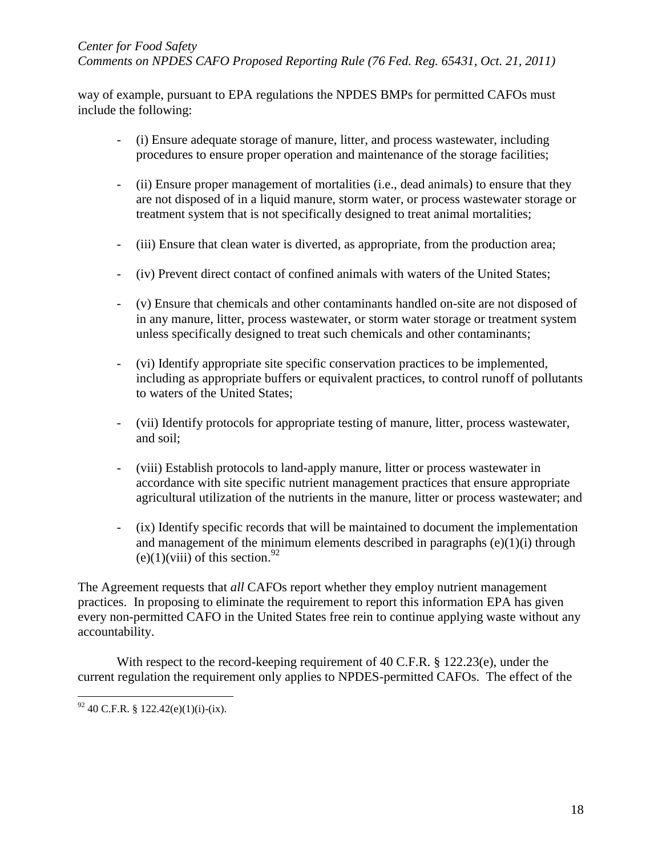way of example, pursuant to EPA regulations the NPDES BMPs for permitted CAFOs must include the following:

- (i) Ensure adequate storage of manure, litter, and process wastewater, including procedures to ensure proper operation and maintenance of the storage facilities;
- (ii) Ensure proper management of mortalities (i.e., dead animals) to ensure that they are not disposed of in a liquid manure, storm water, or process wastewater storage or treatment system that is not specifically designed to treat animal mortalities;
- (iii) Ensure that clean water is diverted, as appropriate, from the production area;
- (iv) Prevent direct contact of confined animals with waters of the United States;
- (v) Ensure that chemicals and other contaminants handled on-site are not disposed of in any manure, litter, process wastewater, or storm water storage or treatment system unless specifically designed to treat such chemicals and other contaminants;
- (vi) Identify appropriate site specific conservation practices to be implemented, including as appropriate buffers or equivalent practices, to control runoff of pollutants to waters of the United States;
- (vii) Identify protocols for appropriate testing of manure, litter, process wastewater, and soil;
- (viii) Establish protocols to land-apply manure, litter or process wastewater in accordance with site specific nutrient management practices that ensure appropriate agricultural utilization of the nutrients in the manure, litter or process wastewater; and
- (ix) Identify specific records that will be maintained to document the implementation and management of the minimum elements described in paragraphs (e)(1)(i) through (e)(1)(viii) of this section.<sup>92</sup>

The Agreement requests that *all* CAFOs report whether they employ nutrient management practices. In proposing to eliminate the requirement to report this information EPA has given every non-permitted CAFO in the United States free rein to continue applying waste without any accountability.

With respect to the record-keeping requirement of 40 C.F.R. § 122.23(e), under the current regulation the requirement only applies to NPDES-permitted CAFOs. The effect of the

 $92$  40 C.F.R. § 122.42(e)(1)(i)-(ix).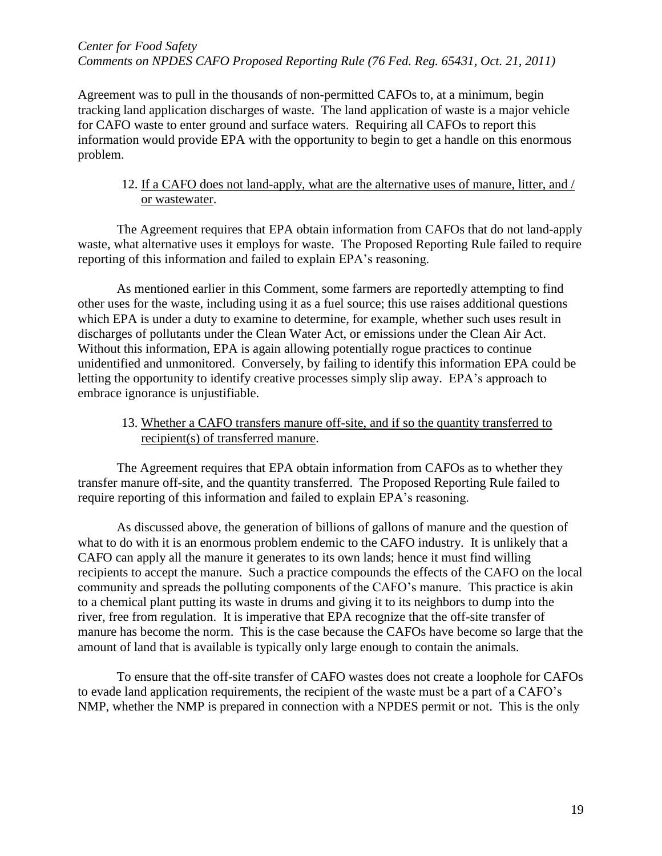Agreement was to pull in the thousands of non-permitted CAFOs to, at a minimum, begin tracking land application discharges of waste. The land application of waste is a major vehicle for CAFO waste to enter ground and surface waters. Requiring all CAFOs to report this information would provide EPA with the opportunity to begin to get a handle on this enormous problem.

# 12. If a CAFO does not land-apply, what are the alternative uses of manure, litter, and / or wastewater.

The Agreement requires that EPA obtain information from CAFOs that do not land-apply waste, what alternative uses it employs for waste. The Proposed Reporting Rule failed to require reporting of this information and failed to explain EPA's reasoning.

As mentioned earlier in this Comment, some farmers are reportedly attempting to find other uses for the waste, including using it as a fuel source; this use raises additional questions which EPA is under a duty to examine to determine, for example, whether such uses result in discharges of pollutants under the Clean Water Act, or emissions under the Clean Air Act. Without this information, EPA is again allowing potentially rogue practices to continue unidentified and unmonitored. Conversely, by failing to identify this information EPA could be letting the opportunity to identify creative processes simply slip away. EPA's approach to embrace ignorance is unjustifiable.

13. Whether a CAFO transfers manure off-site, and if so the quantity transferred to recipient(s) of transferred manure.

The Agreement requires that EPA obtain information from CAFOs as to whether they transfer manure off-site, and the quantity transferred. The Proposed Reporting Rule failed to require reporting of this information and failed to explain EPA's reasoning.

As discussed above, the generation of billions of gallons of manure and the question of what to do with it is an enormous problem endemic to the CAFO industry. It is unlikely that a CAFO can apply all the manure it generates to its own lands; hence it must find willing recipients to accept the manure. Such a practice compounds the effects of the CAFO on the local community and spreads the polluting components of the CAFO's manure. This practice is akin to a chemical plant putting its waste in drums and giving it to its neighbors to dump into the river, free from regulation. It is imperative that EPA recognize that the off-site transfer of manure has become the norm. This is the case because the CAFOs have become so large that the amount of land that is available is typically only large enough to contain the animals.

To ensure that the off-site transfer of CAFO wastes does not create a loophole for CAFOs to evade land application requirements, the recipient of the waste must be a part of a CAFO's NMP, whether the NMP is prepared in connection with a NPDES permit or not. This is the only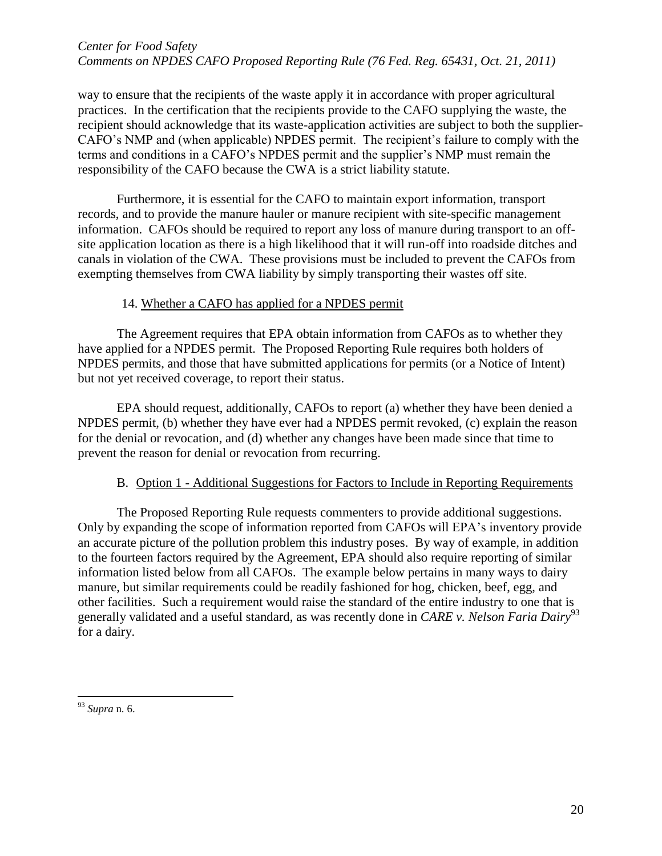way to ensure that the recipients of the waste apply it in accordance with proper agricultural practices. In the certification that the recipients provide to the CAFO supplying the waste, the recipient should acknowledge that its waste-application activities are subject to both the supplier-CAFO's NMP and (when applicable) NPDES permit. The recipient's failure to comply with the terms and conditions in a CAFO's NPDES permit and the supplier's NMP must remain the responsibility of the CAFO because the CWA is a strict liability statute.

Furthermore, it is essential for the CAFO to maintain export information, transport records, and to provide the manure hauler or manure recipient with site-specific management information. CAFOs should be required to report any loss of manure during transport to an offsite application location as there is a high likelihood that it will run-off into roadside ditches and canals in violation of the CWA. These provisions must be included to prevent the CAFOs from exempting themselves from CWA liability by simply transporting their wastes off site.

#### 14. Whether a CAFO has applied for a NPDES permit

The Agreement requires that EPA obtain information from CAFOs as to whether they have applied for a NPDES permit. The Proposed Reporting Rule requires both holders of NPDES permits, and those that have submitted applications for permits (or a Notice of Intent) but not yet received coverage, to report their status.

EPA should request, additionally, CAFOs to report (a) whether they have been denied a NPDES permit, (b) whether they have ever had a NPDES permit revoked, (c) explain the reason for the denial or revocation, and (d) whether any changes have been made since that time to prevent the reason for denial or revocation from recurring.

# B. Option 1 - Additional Suggestions for Factors to Include in Reporting Requirements

The Proposed Reporting Rule requests commenters to provide additional suggestions. Only by expanding the scope of information reported from CAFOs will EPA's inventory provide an accurate picture of the pollution problem this industry poses. By way of example, in addition to the fourteen factors required by the Agreement, EPA should also require reporting of similar information listed below from all CAFOs. The example below pertains in many ways to dairy manure, but similar requirements could be readily fashioned for hog, chicken, beef, egg, and other facilities. Such a requirement would raise the standard of the entire industry to one that is generally validated and a useful standard, as was recently done in *CARE v. Nelson Faria Dairy*<sup>93</sup> for a dairy.

<sup>93</sup> *Supra* n. 6.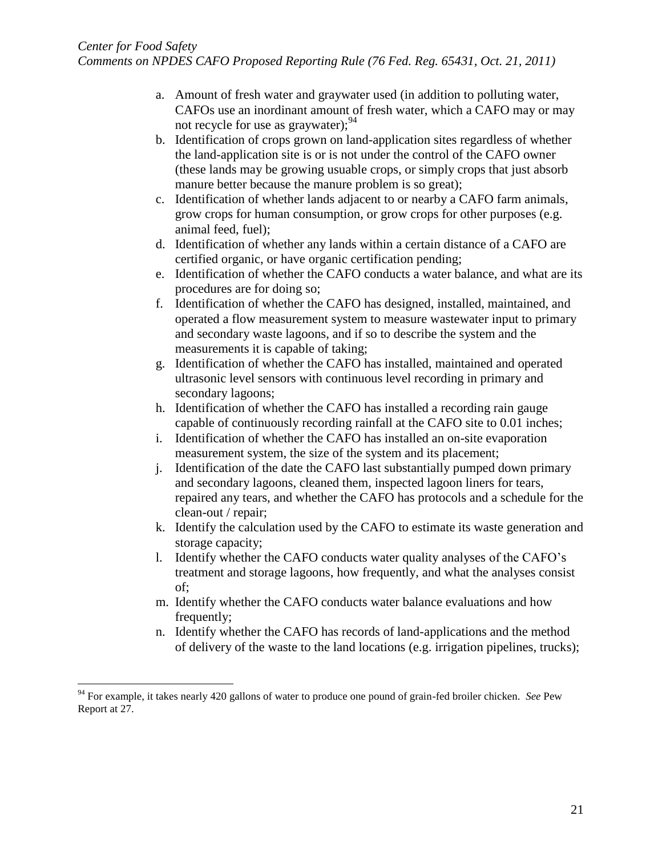- a. Amount of fresh water and graywater used (in addition to polluting water, CAFOs use an inordinant amount of fresh water, which a CAFO may or may not recycle for use as graywater);<sup>94</sup>
- b. Identification of crops grown on land-application sites regardless of whether the land-application site is or is not under the control of the CAFO owner (these lands may be growing usuable crops, or simply crops that just absorb manure better because the manure problem is so great);
- c. Identification of whether lands adjacent to or nearby a CAFO farm animals, grow crops for human consumption, or grow crops for other purposes (e.g. animal feed, fuel);
- d. Identification of whether any lands within a certain distance of a CAFO are certified organic, or have organic certification pending;
- e. Identification of whether the CAFO conducts a water balance, and what are its procedures are for doing so;
- f. Identification of whether the CAFO has designed, installed, maintained, and operated a flow measurement system to measure wastewater input to primary and secondary waste lagoons, and if so to describe the system and the measurements it is capable of taking;
- g. Identification of whether the CAFO has installed, maintained and operated ultrasonic level sensors with continuous level recording in primary and secondary lagoons;
- h. Identification of whether the CAFO has installed a recording rain gauge capable of continuously recording rainfall at the CAFO site to 0.01 inches;
- i. Identification of whether the CAFO has installed an on-site evaporation measurement system, the size of the system and its placement;
- j. Identification of the date the CAFO last substantially pumped down primary and secondary lagoons, cleaned them, inspected lagoon liners for tears, repaired any tears, and whether the CAFO has protocols and a schedule for the clean-out / repair;
- k. Identify the calculation used by the CAFO to estimate its waste generation and storage capacity;
- l. Identify whether the CAFO conducts water quality analyses of the CAFO's treatment and storage lagoons, how frequently, and what the analyses consist of;
- m. Identify whether the CAFO conducts water balance evaluations and how frequently;
- n. Identify whether the CAFO has records of land-applications and the method of delivery of the waste to the land locations (e.g. irrigation pipelines, trucks);

<sup>94</sup> For example, it takes nearly 420 gallons of water to produce one pound of grain-fed broiler chicken. *See* Pew Report at 27.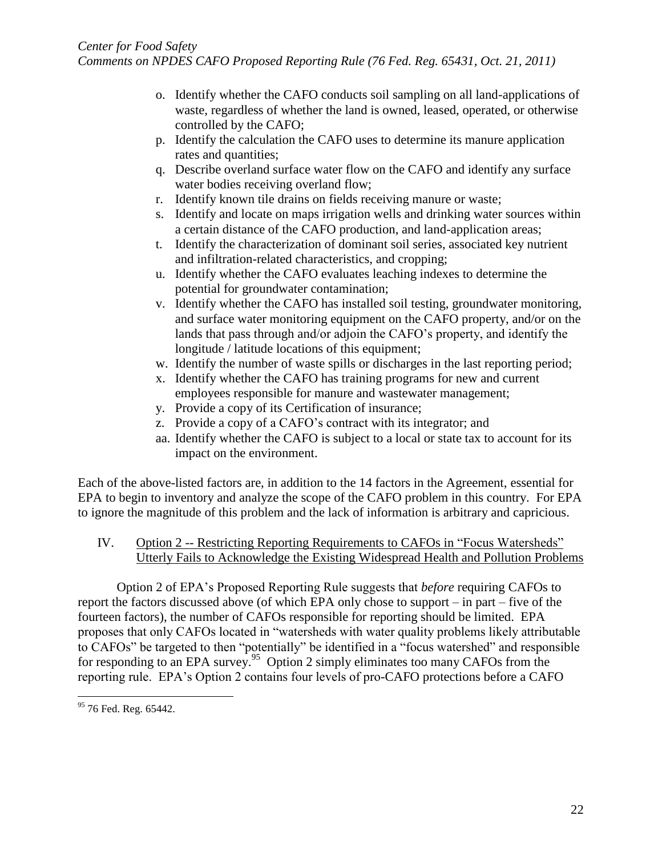- o. Identify whether the CAFO conducts soil sampling on all land-applications of waste, regardless of whether the land is owned, leased, operated, or otherwise controlled by the CAFO;
- p. Identify the calculation the CAFO uses to determine its manure application rates and quantities;
- q. Describe overland surface water flow on the CAFO and identify any surface water bodies receiving overland flow;
- r. Identify known tile drains on fields receiving manure or waste;
- s. Identify and locate on maps irrigation wells and drinking water sources within a certain distance of the CAFO production, and land-application areas;
- t. Identify the characterization of dominant soil series, associated key nutrient and infiltration-related characteristics, and cropping;
- u. Identify whether the CAFO evaluates leaching indexes to determine the potential for groundwater contamination;
- v. Identify whether the CAFO has installed soil testing, groundwater monitoring, and surface water monitoring equipment on the CAFO property, and/or on the lands that pass through and/or adjoin the CAFO's property, and identify the longitude / latitude locations of this equipment;
- w. Identify the number of waste spills or discharges in the last reporting period;
- x. Identify whether the CAFO has training programs for new and current employees responsible for manure and wastewater management;
- y. Provide a copy of its Certification of insurance;
- z. Provide a copy of a CAFO's contract with its integrator; and
- aa. Identify whether the CAFO is subject to a local or state tax to account for its impact on the environment.

Each of the above-listed factors are, in addition to the 14 factors in the Agreement, essential for EPA to begin to inventory and analyze the scope of the CAFO problem in this country. For EPA to ignore the magnitude of this problem and the lack of information is arbitrary and capricious.

# IV. Option 2 -- Restricting Reporting Requirements to CAFOs in "Focus Watersheds" Utterly Fails to Acknowledge the Existing Widespread Health and Pollution Problems

Option 2 of EPA's Proposed Reporting Rule suggests that *before* requiring CAFOs to report the factors discussed above (of which EPA only chose to support – in part – five of the fourteen factors), the number of CAFOs responsible for reporting should be limited. EPA proposes that only CAFOs located in "watersheds with water quality problems likely attributable to CAFOs" be targeted to then "potentially" be identified in a "focus watershed" and responsible for responding to an EPA survey.<sup>95</sup> Option 2 simply eliminates too many CAFOs from the reporting rule. EPA's Option 2 contains four levels of pro-CAFO protections before a CAFO

 $\overline{a}$ <sup>95</sup> 76 Fed. Reg. 65442.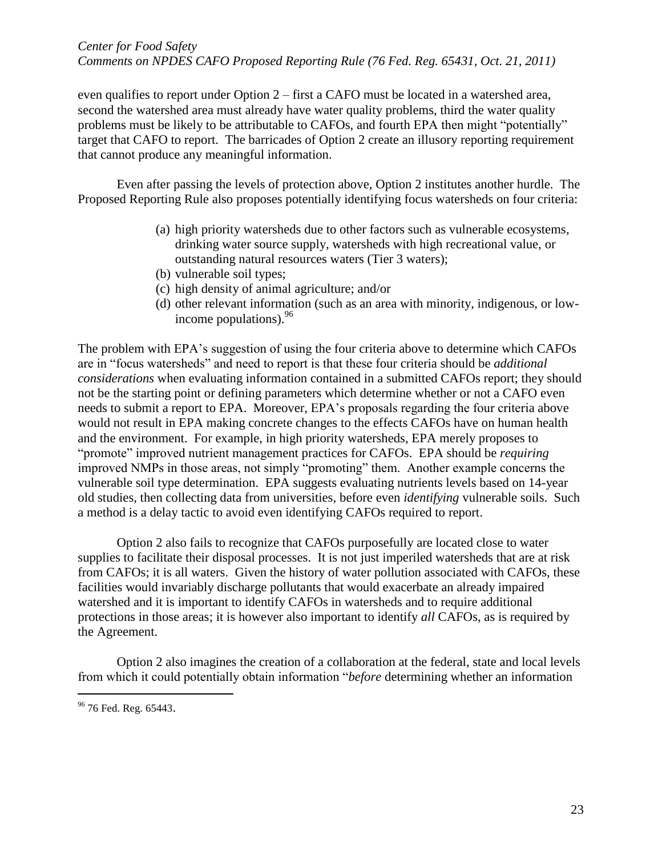even qualifies to report under Option 2 – first a CAFO must be located in a watershed area, second the watershed area must already have water quality problems, third the water quality problems must be likely to be attributable to CAFOs, and fourth EPA then might "potentially" target that CAFO to report. The barricades of Option 2 create an illusory reporting requirement that cannot produce any meaningful information.

Even after passing the levels of protection above, Option 2 institutes another hurdle. The Proposed Reporting Rule also proposes potentially identifying focus watersheds on four criteria:

- (a) high priority watersheds due to other factors such as vulnerable ecosystems, drinking water source supply, watersheds with high recreational value, or outstanding natural resources waters (Tier 3 waters);
- (b) vulnerable soil types;
- (c) high density of animal agriculture; and/or
- (d) other relevant information (such as an area with minority, indigenous, or lowincome populations).  $96$

The problem with EPA's suggestion of using the four criteria above to determine which CAFOs are in "focus watersheds" and need to report is that these four criteria should be *additional considerations* when evaluating information contained in a submitted CAFOs report; they should not be the starting point or defining parameters which determine whether or not a CAFO even needs to submit a report to EPA. Moreover, EPA's proposals regarding the four criteria above would not result in EPA making concrete changes to the effects CAFOs have on human health and the environment. For example, in high priority watersheds, EPA merely proposes to "promote" improved nutrient management practices for CAFOs. EPA should be *requiring* improved NMPs in those areas, not simply "promoting" them. Another example concerns the vulnerable soil type determination. EPA suggests evaluating nutrients levels based on 14-year old studies, then collecting data from universities, before even *identifying* vulnerable soils. Such a method is a delay tactic to avoid even identifying CAFOs required to report.

Option 2 also fails to recognize that CAFOs purposefully are located close to water supplies to facilitate their disposal processes. It is not just imperiled watersheds that are at risk from CAFOs; it is all waters. Given the history of water pollution associated with CAFOs, these facilities would invariably discharge pollutants that would exacerbate an already impaired watershed and it is important to identify CAFOs in watersheds and to require additional protections in those areas; it is however also important to identify *all* CAFOs, as is required by the Agreement.

Option 2 also imagines the creation of a collaboration at the federal, state and local levels from which it could potentially obtain information "*before* determining whether an information

<sup>&</sup>lt;sup>96</sup> 76 Fed. Reg. 65443.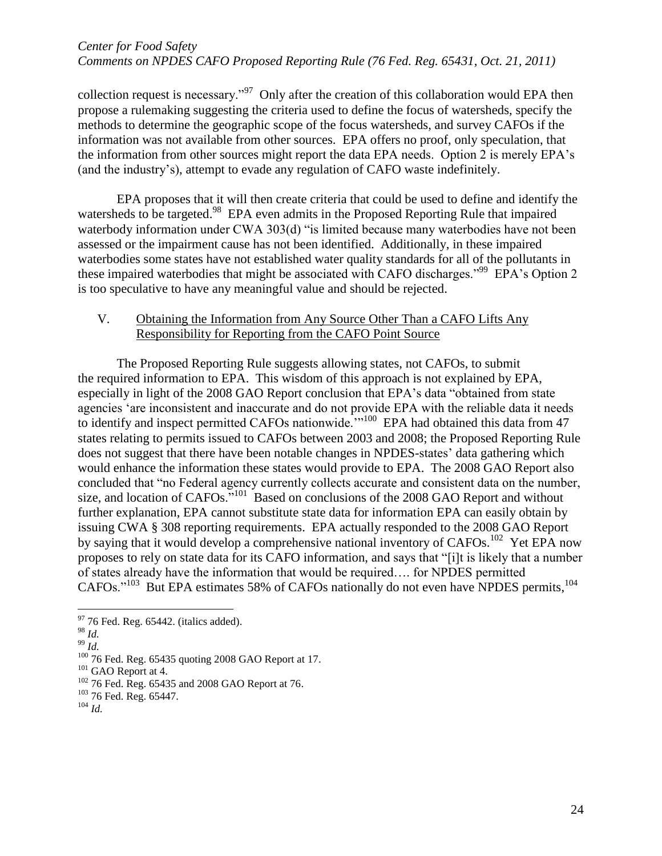collection request is necessary."<sup>97</sup> Only after the creation of this collaboration would EPA then propose a rulemaking suggesting the criteria used to define the focus of watersheds, specify the methods to determine the geographic scope of the focus watersheds, and survey CAFOs if the information was not available from other sources. EPA offers no proof, only speculation, that the information from other sources might report the data EPA needs. Option 2 is merely EPA's (and the industry's), attempt to evade any regulation of CAFO waste indefinitely.

EPA proposes that it will then create criteria that could be used to define and identify the watersheds to be targeted.<sup>98</sup> EPA even admits in the Proposed Reporting Rule that impaired waterbody information under CWA 303(d) "is limited because many waterbodies have not been assessed or the impairment cause has not been identified. Additionally, in these impaired waterbodies some states have not established water quality standards for all of the pollutants in these impaired waterbodies that might be associated with CAFO discharges."<sup>99</sup> EPA's Option 2 is too speculative to have any meaningful value and should be rejected.

## V. Obtaining the Information from Any Source Other Than a CAFO Lifts Any Responsibility for Reporting from the CAFO Point Source

The Proposed Reporting Rule suggests allowing states, not CAFOs, to submit the required information to EPA. This wisdom of this approach is not explained by EPA, especially in light of the 2008 GAO Report conclusion that EPA's data "obtained from state agencies 'are inconsistent and inaccurate and do not provide EPA with the reliable data it needs to identify and inspect permitted CAFOs nationwide.<sup>'"100</sup> EPA had obtained this data from 47 states relating to permits issued to CAFOs between 2003 and 2008; the Proposed Reporting Rule does not suggest that there have been notable changes in NPDES-states' data gathering which would enhance the information these states would provide to EPA. The 2008 GAO Report also concluded that "no Federal agency currently collects accurate and consistent data on the number, size, and location of  $CAFOs.$ <sup>"101</sup> Based on conclusions of the 2008 GAO Report and without further explanation, EPA cannot substitute state data for information EPA can easily obtain by issuing CWA § 308 reporting requirements. EPA actually responded to the 2008 GAO Report by saying that it would develop a comprehensive national inventory of CAFOs.<sup>102</sup> Yet EPA now proposes to rely on state data for its CAFO information, and says that "[i]t is likely that a number of states already have the information that would be required…. for NPDES permitted CAFOs."<sup>103</sup> But EPA estimates 58% of CAFOs nationally do not even have NPDES permits,<sup>104</sup>

<sup>98</sup> *Id.*

 $\overline{a}$ 

 $\frac{99}{Id}$ .

 $97$  76 Fed. Reg. 65442. (italics added).

<sup>&</sup>lt;sup>100</sup> 76 Fed. Reg. 65435 quoting 2008 GAO Report at 17.

<sup>&</sup>lt;sup>101</sup> GAO Report at 4.

<sup>102</sup> 76 Fed. Reg. 65435 and 2008 GAO Report at 76.

<sup>103</sup> 76 Fed. Reg. 65447.

<sup>104</sup> *Id.*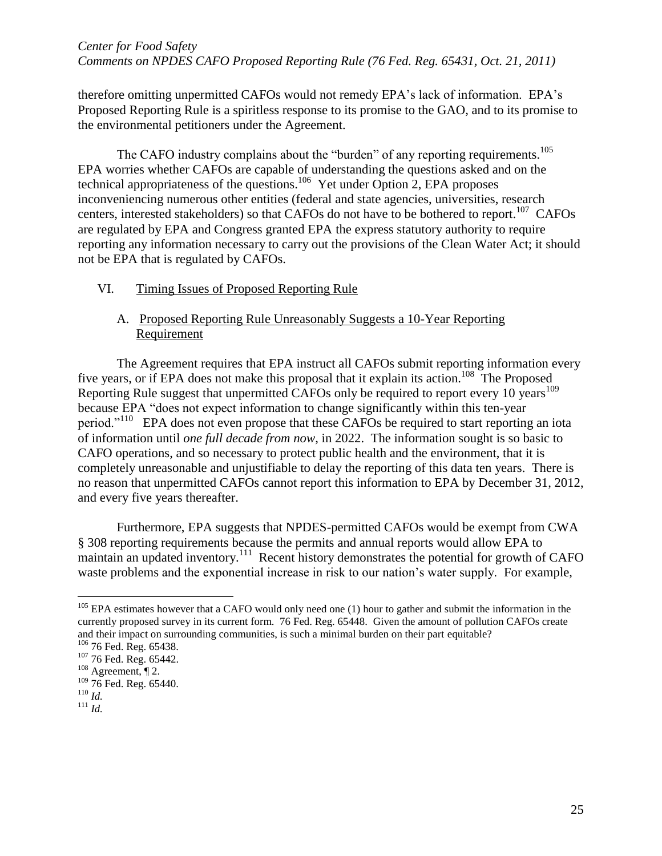therefore omitting unpermitted CAFOs would not remedy EPA's lack of information. EPA's Proposed Reporting Rule is a spiritless response to its promise to the GAO, and to its promise to the environmental petitioners under the Agreement.

The CAFO industry complains about the "burden" of any reporting requirements.<sup>105</sup> EPA worries whether CAFOs are capable of understanding the questions asked and on the technical appropriateness of the questions.<sup>106</sup> Yet under Option 2, EPA proposes inconveniencing numerous other entities (federal and state agencies, universities, research centers, interested stakeholders) so that CAFOs do not have to be bothered to report.<sup>107</sup> CAFOs are regulated by EPA and Congress granted EPA the express statutory authority to require reporting any information necessary to carry out the provisions of the Clean Water Act; it should not be EPA that is regulated by CAFOs.

## VI. Timing Issues of Proposed Reporting Rule

# A. Proposed Reporting Rule Unreasonably Suggests a 10-Year Reporting Requirement

The Agreement requires that EPA instruct all CAFOs submit reporting information every five years, or if EPA does not make this proposal that it explain its action.<sup>108</sup> The Proposed Reporting Rule suggest that unpermitted CAFOs only be required to report every 10 years<sup>109</sup> because EPA "does not expect information to change significantly within this ten-year period."<sup>110</sup> EPA does not even propose that these CAFOs be required to start reporting an iota of information until *one full decade from now*, in 2022. The information sought is so basic to CAFO operations, and so necessary to protect public health and the environment, that it is completely unreasonable and unjustifiable to delay the reporting of this data ten years. There is no reason that unpermitted CAFOs cannot report this information to EPA by December 31, 2012, and every five years thereafter.

Furthermore, EPA suggests that NPDES-permitted CAFOs would be exempt from CWA § 308 reporting requirements because the permits and annual reports would allow EPA to maintain an updated inventory.<sup>111</sup> Recent history demonstrates the potential for growth of CAFO waste problems and the exponential increase in risk to our nation's water supply. For example,

 $105$  EPA estimates however that a CAFO would only need one (1) hour to gather and submit the information in the currently proposed survey in its current form. 76 Fed. Reg. 65448. Given the amount of pollution CAFOs create and their impact on surrounding communities, is such a minimal burden on their part equitable?

<sup>&</sup>lt;sup>106</sup> 76 Fed. Reg. 65438.

<sup>107</sup> 76 Fed. Reg. 65442.

 $108$  Agreement,  $\P$  2.

<sup>&</sup>lt;sup>109</sup> 76 Fed. Reg. 65440. <sup>110</sup> *Id.*

<sup>111</sup> *Id.*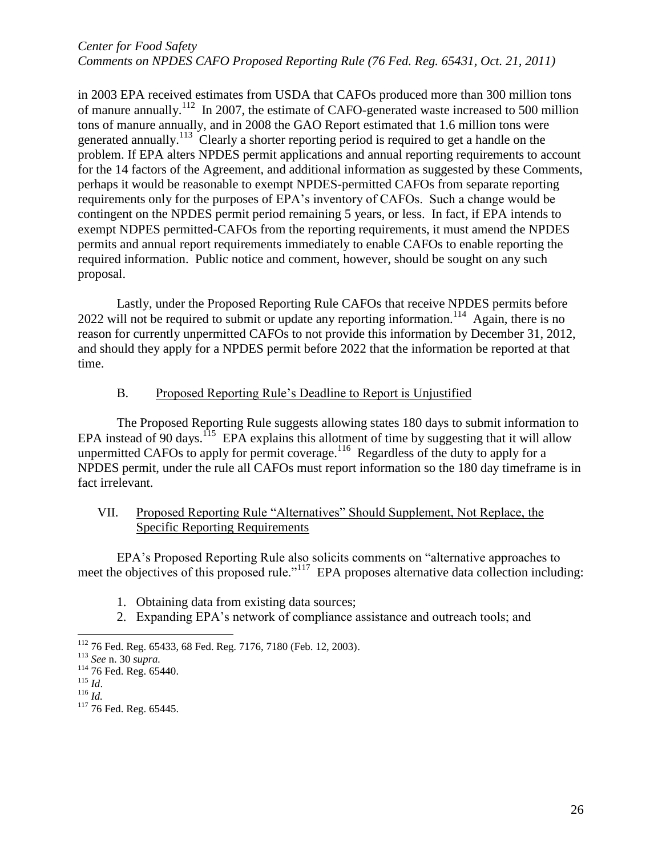in 2003 EPA received estimates from USDA that CAFOs produced more than 300 million tons of manure annually.<sup>112</sup> In 2007, the estimate of CAFO-generated waste increased to 500 million tons of manure annually, and in 2008 the GAO Report estimated that 1.6 million tons were generated annually.<sup>113</sup> Clearly a shorter reporting period is required to get a handle on the problem. If EPA alters NPDES permit applications and annual reporting requirements to account for the 14 factors of the Agreement, and additional information as suggested by these Comments, perhaps it would be reasonable to exempt NPDES-permitted CAFOs from separate reporting requirements only for the purposes of EPA's inventory of CAFOs. Such a change would be contingent on the NPDES permit period remaining 5 years, or less. In fact, if EPA intends to exempt NDPES permitted-CAFOs from the reporting requirements, it must amend the NPDES permits and annual report requirements immediately to enable CAFOs to enable reporting the required information. Public notice and comment, however, should be sought on any such proposal.

Lastly, under the Proposed Reporting Rule CAFOs that receive NPDES permits before  $2022$  will not be required to submit or update any reporting information.<sup>114</sup> Again, there is no reason for currently unpermitted CAFOs to not provide this information by December 31, 2012, and should they apply for a NPDES permit before 2022 that the information be reported at that time.

## B. Proposed Reporting Rule's Deadline to Report is Unjustified

The Proposed Reporting Rule suggests allowing states 180 days to submit information to EPA instead of 90 days.<sup>115</sup> EPA explains this allotment of time by suggesting that it will allow unpermitted CAFOs to apply for permit coverage.<sup>116</sup> Regardless of the duty to apply for a NPDES permit, under the rule all CAFOs must report information so the 180 day timeframe is in fact irrelevant.

## VII. Proposed Reporting Rule "Alternatives" Should Supplement, Not Replace, the Specific Reporting Requirements

EPA's Proposed Reporting Rule also solicits comments on "alternative approaches to meet the objectives of this proposed rule."<sup>117</sup> EPA proposes alternative data collection including:

- 1. Obtaining data from existing data sources;
- 2. Expanding EPA's network of compliance assistance and outreach tools; and

<sup>112</sup> 76 Fed. Reg. 65433, 68 Fed. Reg. 7176, 7180 (Feb. 12, 2003).

<sup>113</sup> *See* n. 30 *supra.*

<sup>&</sup>lt;sup>114</sup> 76 Fed. Reg. 65440. <sup>115</sup> *Id*.

<sup>116</sup> *Id.*

<sup>&</sup>lt;sup>117</sup> 76 Fed. Reg. 65445.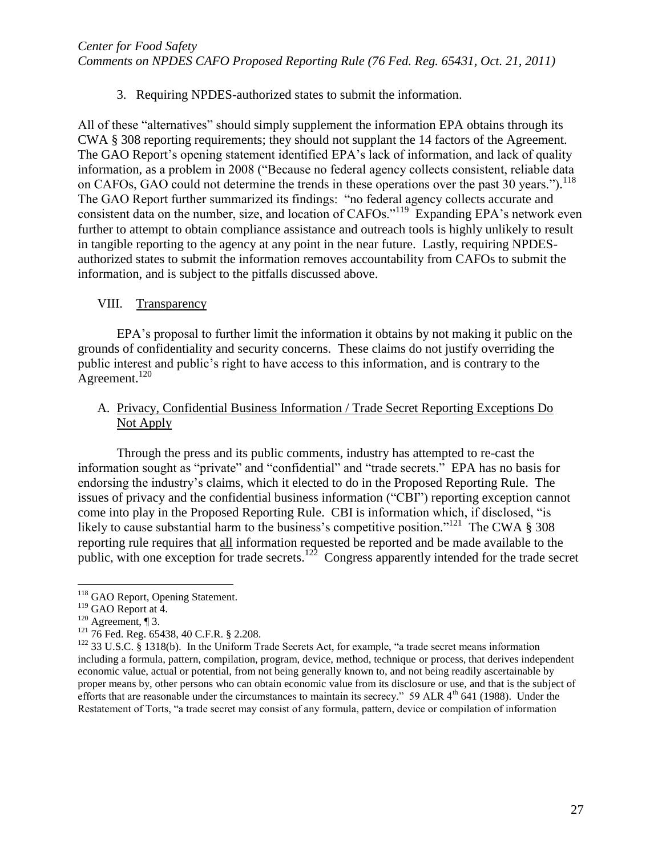3. Requiring NPDES-authorized states to submit the information.

All of these "alternatives" should simply supplement the information EPA obtains through its CWA § 308 reporting requirements; they should not supplant the 14 factors of the Agreement. The GAO Report's opening statement identified EPA's lack of information, and lack of quality information, as a problem in 2008 ("Because no federal agency collects consistent, reliable data on CAFOs, GAO could not determine the trends in these operations over the past 30 years.").<sup>118</sup> The GAO Report further summarized its findings: "no federal agency collects accurate and consistent data on the number, size, and location of CAFOs."<sup>119</sup> Expanding EPA's network even further to attempt to obtain compliance assistance and outreach tools is highly unlikely to result in tangible reporting to the agency at any point in the near future. Lastly, requiring NPDESauthorized states to submit the information removes accountability from CAFOs to submit the information, and is subject to the pitfalls discussed above.

## VIII. Transparency

EPA's proposal to further limit the information it obtains by not making it public on the grounds of confidentiality and security concerns. These claims do not justify overriding the public interest and public's right to have access to this information, and is contrary to the Agreement.<sup>120</sup>

# A. Privacy, Confidential Business Information / Trade Secret Reporting Exceptions Do Not Apply

Through the press and its public comments, industry has attempted to re-cast the information sought as "private" and "confidential" and "trade secrets." EPA has no basis for endorsing the industry's claims, which it elected to do in the Proposed Reporting Rule. The issues of privacy and the confidential business information ("CBI") reporting exception cannot come into play in the Proposed Reporting Rule. CBI is information which, if disclosed, "is likely to cause substantial harm to the business's competitive position."<sup>121</sup> The CWA § 308 reporting rule requires that all information requested be reported and be made available to the public, with one exception for trade secrets.<sup>122</sup> Congress apparently intended for the trade secret

<sup>&</sup>lt;sup>118</sup> GAO Report, Opening Statement.

<sup>&</sup>lt;sup>119</sup> GAO Report at 4.

<sup>&</sup>lt;sup>120</sup> Agreement, ¶ 3.

<sup>&</sup>lt;sup>121</sup> 76 Fed. Reg. 65438, 40 C.F.R. § 2.208.

 $122$  33 U.S.C. § 1318(b). In the Uniform Trade Secrets Act, for example, "a trade secret means information including a formula, pattern, compilation, program, device, method, technique or process, that derives independent economic value, actual or potential, from not being generally known to, and not being readily ascertainable by proper means by, other persons who can obtain economic value from its disclosure or use, and that is the subject of efforts that are reasonable under the circumstances to maintain its secrecy." 59 ALR 4<sup>th</sup> 641 (1988). Under the Restatement of Torts, "a trade secret may consist of any formula, pattern, device or compilation of information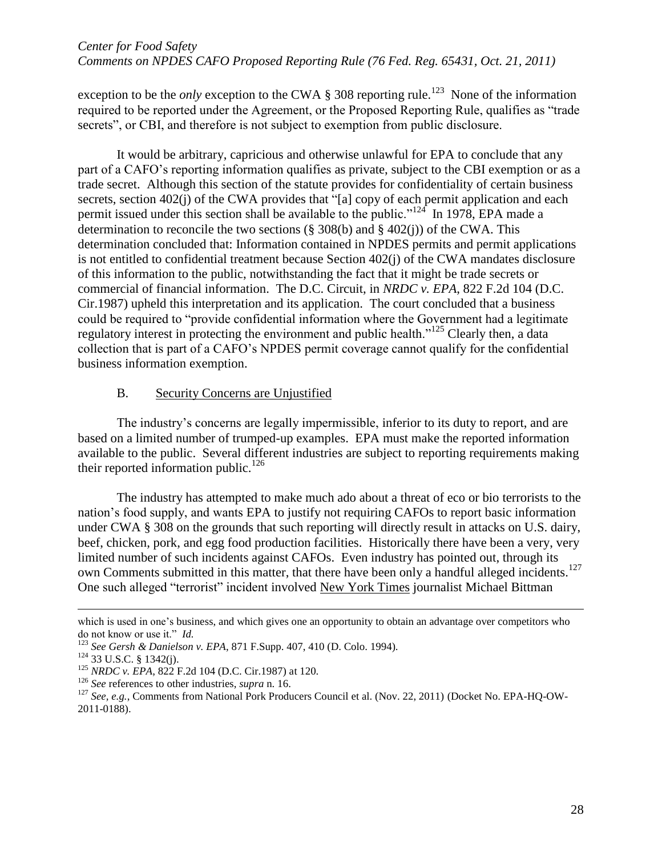exception to be the *only* exception to the CWA  $\S 308$  reporting rule.<sup>123</sup> None of the information required to be reported under the Agreement, or the Proposed Reporting Rule, qualifies as "trade secrets", or CBI, and therefore is not subject to exemption from public disclosure.

It would be arbitrary, capricious and otherwise unlawful for EPA to conclude that any part of a CAFO's reporting information qualifies as private, subject to the CBI exemption or as a trade secret. Although this section of the statute provides for confidentiality of certain business secrets, section 402(j) of the CWA provides that "[a] copy of each permit application and each permit issued under this section shall be available to the public."<sup>124</sup> In 1978, EPA made a determination to reconcile the two sections (§ 308(b) and § 402(j)) of the CWA. This determination concluded that: Information contained in NPDES permits and permit applications is not entitled to confidential treatment because Section 402(j) of the CWA mandates disclosure of this information to the public, notwithstanding the fact that it might be trade secrets or commercial of financial information. The D.C. Circuit, in *NRDC v. EPA*, 822 F.2d 104 (D.C. Cir.1987) upheld this interpretation and its application. The court concluded that a business could be required to "provide confidential information where the Government had a legitimate regulatory interest in protecting the environment and public health."<sup>125</sup> Clearly then, a data collection that is part of a CAFO's NPDES permit coverage cannot qualify for the confidential business information exemption.

#### B. Security Concerns are Unjustified

The industry's concerns are legally impermissible, inferior to its duty to report, and are based on a limited number of trumped-up examples. EPA must make the reported information available to the public. Several different industries are subject to reporting requirements making their reported information public.<sup>126</sup>

The industry has attempted to make much ado about a threat of eco or bio terrorists to the nation's food supply, and wants EPA to justify not requiring CAFOs to report basic information under CWA § 308 on the grounds that such reporting will directly result in attacks on U.S. dairy, beef, chicken, pork, and egg food production facilities. Historically there have been a very, very limited number of such incidents against CAFOs. Even industry has pointed out, through its own Comments submitted in this matter, that there have been only a handful alleged incidents.<sup>127</sup> One such alleged "terrorist" incident involved New York Times journalist Michael Bittman

which is used in one's business, and which gives one an opportunity to obtain an advantage over competitors who do not know or use it." *Id.*

<sup>123</sup> *See Gersh & Danielson v. EPA*, 871 F.Supp. 407, 410 (D. Colo. 1994).

<sup>124</sup> 33 U.S.C. § 1342(j).

<sup>125</sup> *NRDC v. EPA*, 822 F.2d 104 (D.C. Cir.1987) at 120.

<sup>126</sup> *See* references to other industries, *supra* n. 16.

<sup>&</sup>lt;sup>127</sup> See, e.g., Comments from National Pork Producers Council et al. (Nov. 22, 2011) (Docket No. EPA-HQ-OW-2011-0188).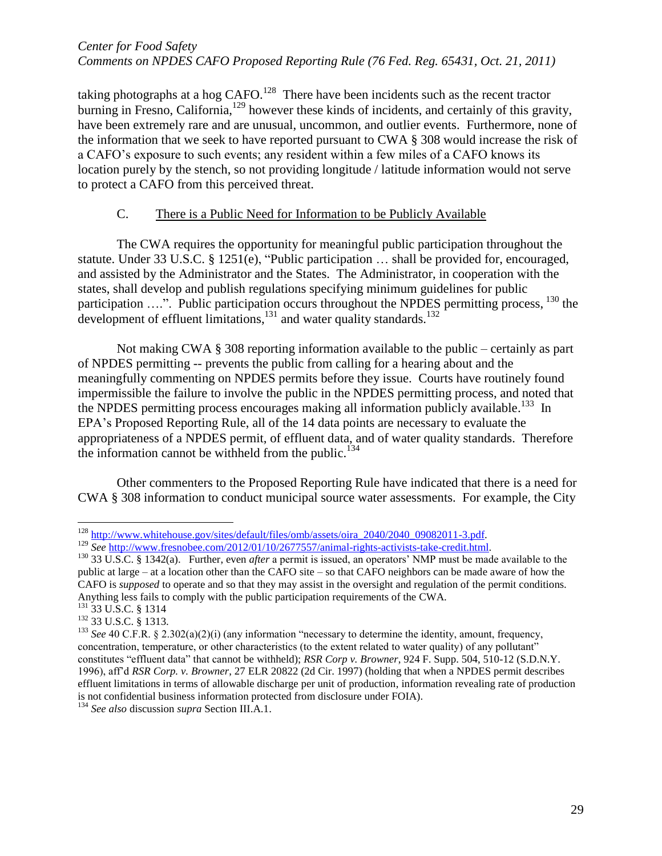taking photographs at a hog  $CAFO$ .<sup>128</sup> There have been incidents such as the recent tractor burning in Fresno, California,<sup>129</sup> however these kinds of incidents, and certainly of this gravity, have been extremely rare and are unusual, uncommon, and outlier events. Furthermore, none of the information that we seek to have reported pursuant to CWA § 308 would increase the risk of a CAFO's exposure to such events; any resident within a few miles of a CAFO knows its location purely by the stench, so not providing longitude / latitude information would not serve to protect a CAFO from this perceived threat.

# C. There is a Public Need for Information to be Publicly Available

The CWA requires the opportunity for meaningful public participation throughout the statute. Under 33 U.S.C. § 1251(e), "Public participation … shall be provided for, encouraged, and assisted by the Administrator and the States. The Administrator, in cooperation with the states, shall develop and publish regulations specifying minimum guidelines for public participation ....". Public participation occurs throughout the NPDES permitting process, <sup>130</sup> the development of effluent limitations, $^{131}$  and water quality standards. $^{132}$ 

Not making CWA § 308 reporting information available to the public – certainly as part of NPDES permitting -- prevents the public from calling for a hearing about and the meaningfully commenting on NPDES permits before they issue. Courts have routinely found impermissible the failure to involve the public in the NPDES permitting process, and noted that the NPDES permitting process encourages making all information publicly available.<sup>133</sup> In EPA's Proposed Reporting Rule, all of the 14 data points are necessary to evaluate the appropriateness of a NPDES permit, of effluent data, and of water quality standards. Therefore the information cannot be withheld from the public.<sup>134</sup>

Other commenters to the Proposed Reporting Rule have indicated that there is a need for CWA § 308 information to conduct municipal source water assessments. For example, the City

- <sup>131</sup> 33 U.S.C. § 1314
- <sup>132</sup> 33 U.S.C. § 1313.

 $\overline{a}$ <sup>128</sup> http://www.whitehouse.gov/sites/default/files/omb/assets/oira\_2040/2040\_09082011-3.pdf.

<sup>129</sup> *See* [http://www.fresnobee.com/2012/01/10/2677557/animal-rights-activists-take-credit.html.](http://www.fresnobee.com/2012/01/10/2677557/animal-rights-activists-take-credit.html)

<sup>130</sup> 33 U.S.C. § 1342(a). Further, even *after* a permit is issued, an operators' NMP must be made available to the public at large – at a location other than the CAFO site – so that CAFO neighbors can be made aware of how the CAFO is *supposed* to operate and so that they may assist in the oversight and regulation of the permit conditions. Anything less fails to comply with the public participation requirements of the CWA.

<sup>&</sup>lt;sup>133</sup> *See* 40 C.F.R. § 2.302(a)(2)(i) (any information "necessary to determine the identity, amount, frequency, concentration, temperature, or other characteristics (to the extent related to water quality) of any pollutant" constitutes "effluent data" that cannot be withheld); *RSR Corp v. Browner*, 924 F. Supp. 504, 510-12 (S.D.N.Y. 1996), aff'd *RSR Corp. v. Browner*, 27 ELR 20822 (2d Cir. 1997) (holding that when a NPDES permit describes effluent limitations in terms of allowable discharge per unit of production, information revealing rate of production is not confidential business information protected from disclosure under FOIA).

<sup>134</sup> *See also* discussion *supra* Section III.A.1.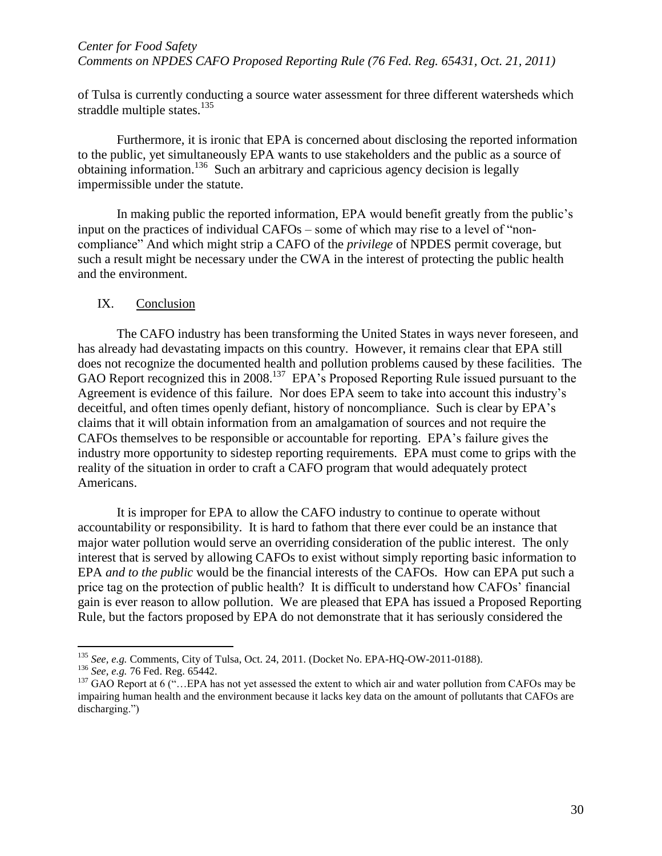of Tulsa is currently conducting a source water assessment for three different watersheds which straddle multiple states.<sup>135</sup>

Furthermore, it is ironic that EPA is concerned about disclosing the reported information to the public, yet simultaneously EPA wants to use stakeholders and the public as a source of obtaining information.<sup>136</sup> Such an arbitrary and capricious agency decision is legally impermissible under the statute.

In making public the reported information, EPA would benefit greatly from the public's input on the practices of individual CAFOs – some of which may rise to a level of "noncompliance" And which might strip a CAFO of the *privilege* of NPDES permit coverage, but such a result might be necessary under the CWA in the interest of protecting the public health and the environment.

#### IX. Conclusion

The CAFO industry has been transforming the United States in ways never foreseen, and has already had devastating impacts on this country. However, it remains clear that EPA still does not recognize the documented health and pollution problems caused by these facilities. The GAO Report recognized this in 2008.<sup>137</sup> EPA's Proposed Reporting Rule issued pursuant to the Agreement is evidence of this failure. Nor does EPA seem to take into account this industry's deceitful, and often times openly defiant, history of noncompliance. Such is clear by EPA's claims that it will obtain information from an amalgamation of sources and not require the CAFOs themselves to be responsible or accountable for reporting. EPA's failure gives the industry more opportunity to sidestep reporting requirements. EPA must come to grips with the reality of the situation in order to craft a CAFO program that would adequately protect Americans.

It is improper for EPA to allow the CAFO industry to continue to operate without accountability or responsibility. It is hard to fathom that there ever could be an instance that major water pollution would serve an overriding consideration of the public interest. The only interest that is served by allowing CAFOs to exist without simply reporting basic information to EPA *and to the public* would be the financial interests of the CAFOs. How can EPA put such a price tag on the protection of public health? It is difficult to understand how CAFOs' financial gain is ever reason to allow pollution. We are pleased that EPA has issued a Proposed Reporting Rule, but the factors proposed by EPA do not demonstrate that it has seriously considered the

<sup>135</sup> *See, e.g.* Comments, City of Tulsa, Oct. 24, 2011. (Docket No. EPA-HQ-OW-2011-0188).

<sup>136</sup> *See, e.g.* 76 Fed. Reg. 65442.

<sup>&</sup>lt;sup>137</sup> GAO Report at 6 ("... EPA has not yet assessed the extent to which air and water pollution from CAFOs may be impairing human health and the environment because it lacks key data on the amount of pollutants that CAFOs are discharging.")